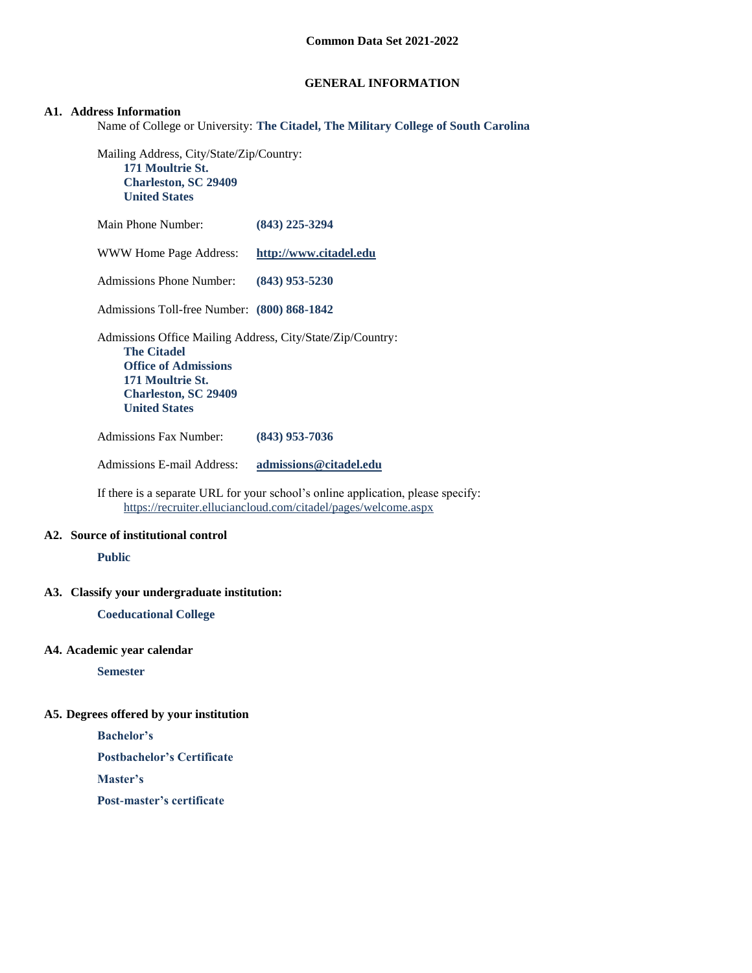### **GENERAL INFORMATION**

#### **A1. Address Information**

Name of College or University: **The Citadel, The Military College of South Carolina**

Mailing Address, City/State/Zip/Country: **171 Moultrie St. Charleston, SC 29409 United States**

| Main Phone Number:                                                                                                                                                                         | $(843)$ 225-3294       |
|--------------------------------------------------------------------------------------------------------------------------------------------------------------------------------------------|------------------------|
| WWW Home Page Address:                                                                                                                                                                     | http://www.citadel.edu |
| Admissions Phone Number:                                                                                                                                                                   | $(843)$ 953-5230       |
| Admissions Toll-free Number: (800) 868-1842                                                                                                                                                |                        |
| Admissions Office Mailing Address, City/State/Zip/Country:<br><b>The Citadel</b><br><b>Office of Admissions</b><br>171 Moultrie St.<br><b>Charleston, SC 29409</b><br><b>United States</b> |                        |
| <b>Admissions Fax Number:</b>                                                                                                                                                              | (843) 953-7036         |

Admissions E-mail Address: **[admissions@citadel.edu](mailto:admissions@citadel.edu)**

If there is a separate URL for your school's online application, please specify: <https://recruiter.elluciancloud.com/citadel/pages/welcome.aspx>

### **A2. Source of institutional control**

**Public**

### **A3. Classify your undergraduate institution:**

**Coeducational College**

### **A4. Academic year calendar**

**Semester**

### **A5. Degrees offered by your institution**

**Bachelor's**

**Postbachelor's Certificate**

**Master's**

**Post-master's certificate**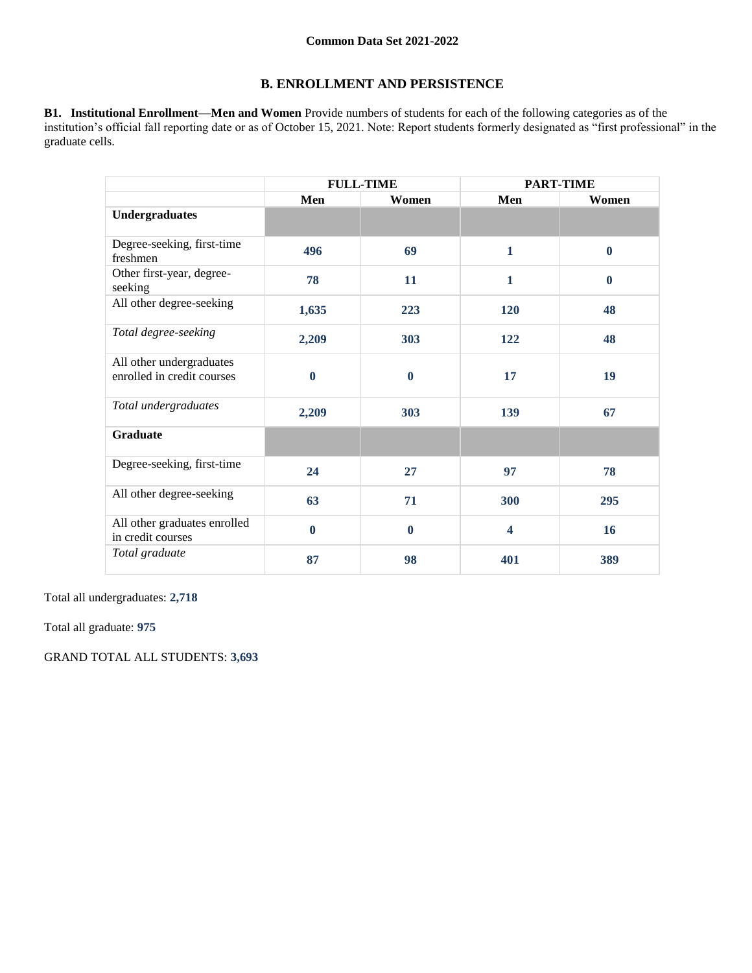# **B. ENROLLMENT AND PERSISTENCE**

**B1. Institutional Enrollment—Men and Women** Provide numbers of students for each of the following categories as of the institution's official fall reporting date or as of October 15, 2021. Note: Report students formerly designated as "first professional" in the graduate cells.

|                                                        | <b>FULL-TIME</b> |                  | <b>PART-TIME</b>        |          |
|--------------------------------------------------------|------------------|------------------|-------------------------|----------|
|                                                        | Men              | Women            | Men                     | Women    |
| <b>Undergraduates</b>                                  |                  |                  |                         |          |
| Degree-seeking, first-time<br>freshmen                 | 496              | 69               | $\mathbf{1}$            | $\bf{0}$ |
| Other first-year, degree-<br>seeking                   | 78               | 11               | $\mathbf{1}$            | $\bf{0}$ |
| All other degree-seeking                               | 1,635            | 223              | 120                     | 48       |
| Total degree-seeking                                   | 2,209            | 303              | 122                     | 48       |
| All other undergraduates<br>enrolled in credit courses | $\boldsymbol{0}$ | $\boldsymbol{0}$ | 17                      | 19       |
| Total undergraduates                                   | 2,209            | 303              | 139                     | 67       |
| <b>Graduate</b>                                        |                  |                  |                         |          |
| Degree-seeking, first-time                             | 24               | 27               | 97                      | 78       |
| All other degree-seeking                               | 63               | 71               | 300                     | 295      |
| All other graduates enrolled<br>in credit courses      | $\bf{0}$         | $\bf{0}$         | $\overline{\mathbf{4}}$ | 16       |
| Total graduate                                         | 87               | 98               | 401                     | 389      |

Total all undergraduates: **2,718**

Total all graduate: **975**

GRAND TOTAL ALL STUDENTS: **3,693**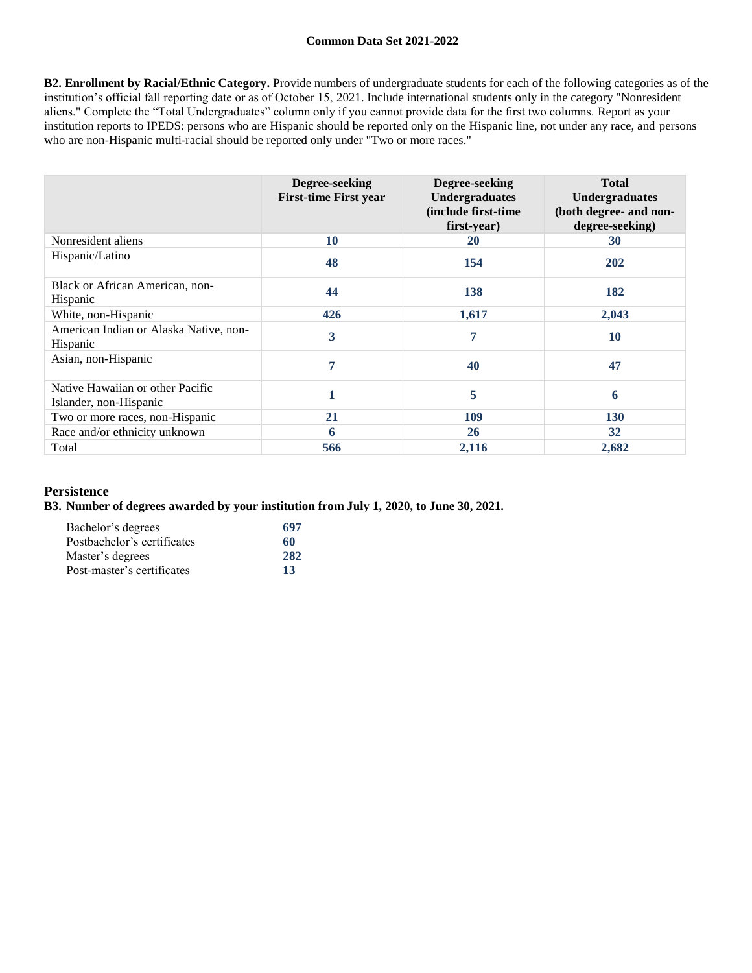**B2. Enrollment by Racial/Ethnic Category.** Provide numbers of undergraduate students for each of the following categories as of the institution's official fall reporting date or as of October 15, 2021. Include international students only in the category "Nonresident aliens." Complete the "Total Undergraduates" column only if you cannot provide data for the first two columns. Report as your institution reports to IPEDS: persons who are Hispanic should be reported only on the Hispanic line, not under any race, and persons who are non-Hispanic multi-racial should be reported only under "Two or more races."

|                                                            | Degree-seeking<br><b>First-time First year</b> | Degree-seeking<br><b>Undergraduates</b><br>(include first-time<br>first-year) | <b>Total</b><br><b>Undergraduates</b><br>(both degree- and non-<br>degree-seeking) |
|------------------------------------------------------------|------------------------------------------------|-------------------------------------------------------------------------------|------------------------------------------------------------------------------------|
| Nonresident aliens                                         | 10                                             | 20                                                                            | 30                                                                                 |
| Hispanic/Latino                                            | 48                                             | 154                                                                           | 202                                                                                |
| <b>Black or African American, non-</b><br>Hispanic         | 44                                             | 138                                                                           | 182                                                                                |
| White, non-Hispanic                                        | 426                                            | 1,617                                                                         | 2,043                                                                              |
| American Indian or Alaska Native, non-<br><b>Hispanic</b>  | 3                                              | 7                                                                             | <b>10</b>                                                                          |
| Asian, non-Hispanic                                        | 7                                              | 40                                                                            | 47                                                                                 |
| Native Hawaiian or other Pacific<br>Islander, non-Hispanic |                                                | 5                                                                             | 6                                                                                  |
| Two or more races, non-Hispanic                            | 21                                             | 109                                                                           | 130                                                                                |
| Race and/or ethnicity unknown                              | 6                                              | 26                                                                            | 32                                                                                 |
| Total                                                      | 566                                            | 2,116                                                                         | 2,682                                                                              |

### **Persistence**

#### **B3. Number of degrees awarded by your institution from July 1, 2020, to June 30, 2021.**

| Bachelor's degrees          | 697 |
|-----------------------------|-----|
| Postbachelor's certificates | 60  |
| Master's degrees            | 282 |
| Post-master's certificates  | 13  |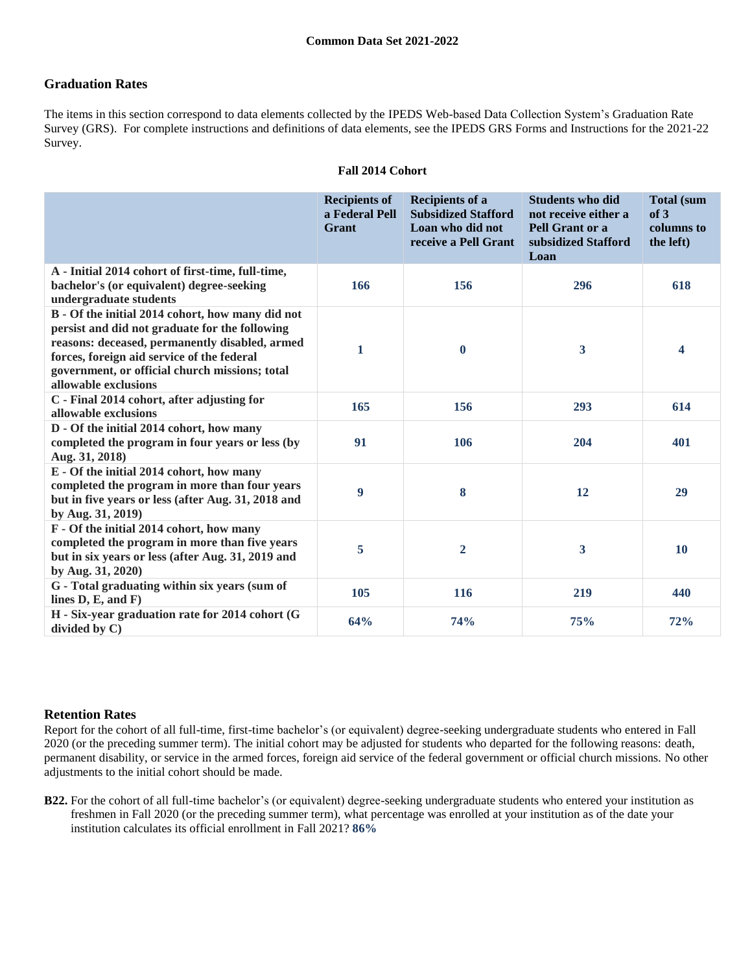## **Graduation Rates**

The items in this section correspond to data elements collected by the IPEDS Web-based Data Collection System's Graduation Rate Survey (GRS). For complete instructions and definitions of data elements, see the IPEDS GRS Forms and Instructions for the 2021-22 Survey.

|                                                                                                                                                                                                                                                                              | <b>Recipients of</b><br>a Federal Pell<br>Grant | <b>Recipients of a</b><br><b>Subsidized Stafford</b><br>Loan who did not<br>receive a Pell Grant | <b>Students who did</b><br>not receive either a<br>Pell Grant or a<br>subsidized Stafford<br>Loan | <b>Total (sum</b><br>of 3<br>columns to<br>the left) |
|------------------------------------------------------------------------------------------------------------------------------------------------------------------------------------------------------------------------------------------------------------------------------|-------------------------------------------------|--------------------------------------------------------------------------------------------------|---------------------------------------------------------------------------------------------------|------------------------------------------------------|
| A - Initial 2014 cohort of first-time, full-time,<br>bachelor's (or equivalent) degree-seeking<br>undergraduate students                                                                                                                                                     | 166                                             | 156                                                                                              | 296                                                                                               | 618                                                  |
| B - Of the initial 2014 cohort, how many did not<br>persist and did not graduate for the following<br>reasons: deceased, permanently disabled, armed<br>forces, foreign aid service of the federal<br>government, or official church missions; total<br>allowable exclusions | 1                                               | $\boldsymbol{0}$                                                                                 | 3                                                                                                 | 4                                                    |
| C - Final 2014 cohort, after adjusting for<br>allowable exclusions                                                                                                                                                                                                           | 165                                             | 156                                                                                              | 293                                                                                               | 614                                                  |
| D - Of the initial 2014 cohort, how many<br>completed the program in four years or less (by<br>Aug. 31, 2018)                                                                                                                                                                | 91                                              | 106                                                                                              | 204                                                                                               | 401                                                  |
| E - Of the initial 2014 cohort, how many<br>completed the program in more than four years<br>but in five years or less (after Aug. 31, 2018 and<br>by Aug. 31, 2019)                                                                                                         | 9                                               | 8                                                                                                | 12                                                                                                | 29                                                   |
| F - Of the initial 2014 cohort, how many<br>completed the program in more than five years<br>but in six years or less (after Aug. 31, 2019 and<br>by Aug. 31, 2020)                                                                                                          | 5                                               | $\overline{2}$                                                                                   | 3                                                                                                 | 10                                                   |
| G - Total graduating within six years (sum of<br>lines $D, E, and F$                                                                                                                                                                                                         | 105                                             | 116                                                                                              | 219                                                                                               | 440                                                  |
| H - Six-year graduation rate for 2014 cohort (G<br>divided by $C$ )                                                                                                                                                                                                          | 64%                                             | 74%                                                                                              | 75%                                                                                               | 72%                                                  |

#### **Fall 2014 Cohort**

### **Retention Rates**

Report for the cohort of all full-time, first-time bachelor's (or equivalent) degree-seeking undergraduate students who entered in Fall 2020 (or the preceding summer term). The initial cohort may be adjusted for students who departed for the following reasons: death, permanent disability, or service in the armed forces, foreign aid service of the federal government or official church missions. No other adjustments to the initial cohort should be made.

**B22.** For the cohort of all full-time bachelor's (or equivalent) degree-seeking undergraduate students who entered your institution as freshmen in Fall 2020 (or the preceding summer term), what percentage was enrolled at your institution as of the date your institution calculates its official enrollment in Fall 2021? **86%**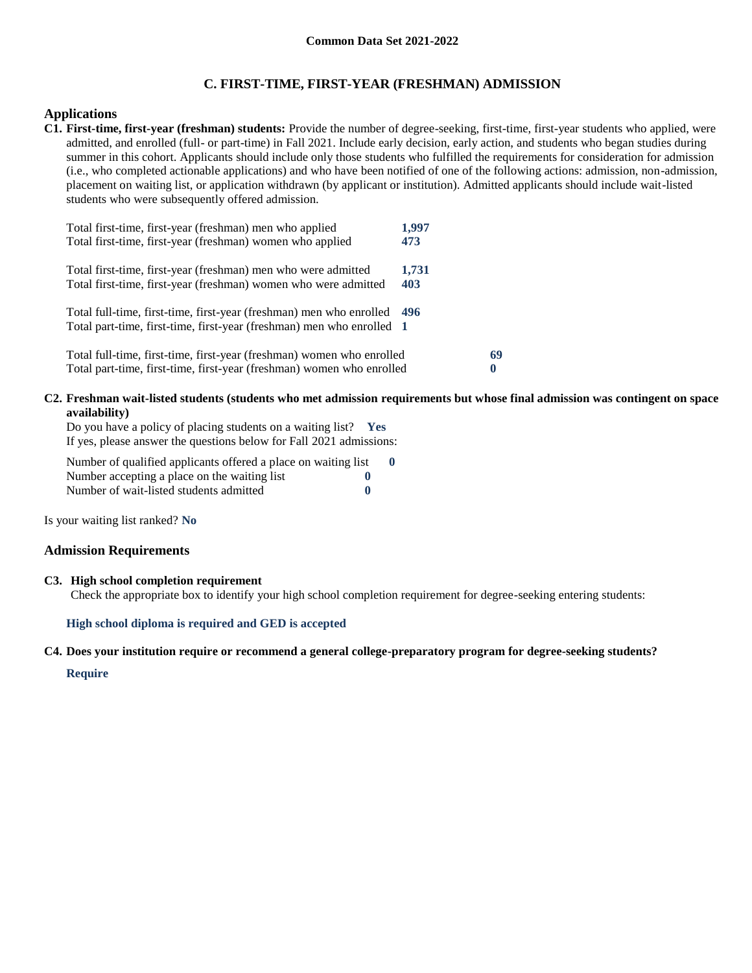### **C. FIRST-TIME, FIRST-YEAR (FRESHMAN) ADMISSION**

### **Applications**

**C1. First-time, first-year (freshman) students:** Provide the number of degree-seeking, first-time, first-year students who applied, were admitted, and enrolled (full- or part-time) in Fall 2021. Include early decision, early action, and students who began studies during summer in this cohort. Applicants should include only those students who fulfilled the requirements for consideration for admission (i.e., who completed actionable applications) and who have been notified of one of the following actions: admission, non-admission, placement on waiting list, or application withdrawn (by applicant or institution). Admitted applicants should include wait-listed students who were subsequently offered admission.

| Total first-time, first-year (freshman) men who applied<br>Total first-time, first-year (freshman) women who applied                             | 1,997<br>473 |    |
|--------------------------------------------------------------------------------------------------------------------------------------------------|--------------|----|
| Total first-time, first-year (freshman) men who were admitted<br>Total first-time, first-year (freshman) women who were admitted                 | 1,731<br>403 |    |
| Total full-time, first-time, first-year (freshman) men who enrolled 496<br>Total part-time, first-time, first-year (freshman) men who enrolled 1 |              |    |
| Total full-time, first-time, first-year (freshman) women who enrolled<br>Total part-time, first-time, first-year (freshman) women who enrolled   |              | 69 |

#### **C2. Freshman wait-listed students (students who met admission requirements but whose final admission was contingent on space availability)**

Do you have a policy of placing students on a waiting list? **Yes** If yes, please answer the questions below for Fall 2021 admissions:

Number of qualified applicants offered a place on waiting list **0** Number accepting a place on the waiting list **0** Number of wait-listed students admitted **0**

Is your waiting list ranked? **No**

#### **Admission Requirements**

#### **C3. High school completion requirement**

Check the appropriate box to identify your high school completion requirement for degree-seeking entering students:

#### **High school diploma is required and GED is accepted**

#### **C4. Does your institution require or recommend a general college-preparatory program for degree-seeking students?**

#### **Require**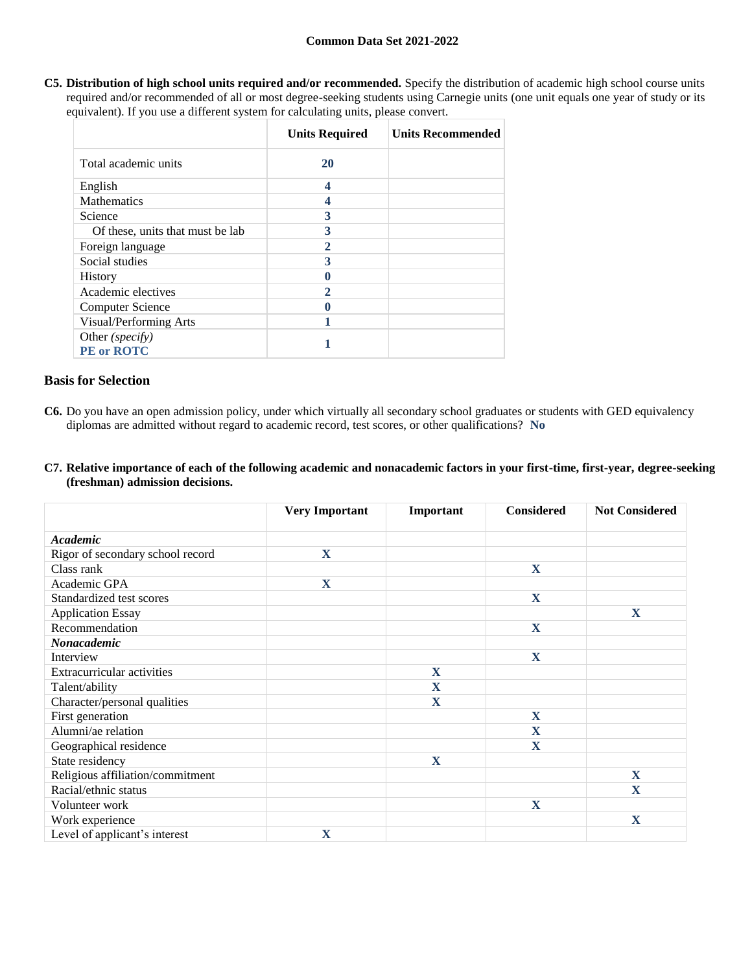**C5. Distribution of high school units required and/or recommended.** Specify the distribution of academic high school course units required and/or recommended of all or most degree-seeking students using Carnegie units (one unit equals one year of study or its equivalent). If you use a different system for calculating units, please convert.

|                                      | <b>Units Required</b> | <b>Units Recommended</b> |
|--------------------------------------|-----------------------|--------------------------|
| Total academic units                 | 20                    |                          |
| English                              | 4                     |                          |
| <b>Mathematics</b>                   |                       |                          |
| Science                              | 3                     |                          |
| Of these, units that must be lab     | 3                     |                          |
| Foreign language                     | 2                     |                          |
| Social studies                       | 3                     |                          |
| <b>History</b>                       |                       |                          |
| Academic electives                   | 2                     |                          |
| <b>Computer Science</b>              |                       |                          |
| Visual/Performing Arts               |                       |                          |
| Other (specify)<br><b>PE</b> or ROTC |                       |                          |

# **Basis for Selection**

- **C6.** Do you have an open admission policy, under which virtually all secondary school graduates or students with GED equivalency diplomas are admitted without regard to academic record, test scores, or other qualifications? **No**
- **C7. Relative importance of each of the following academic and nonacademic factors in your first-time, first-year, degree-seeking (freshman) admission decisions.**

|                                   | <b>Very Important</b> | Important    | <b>Considered</b> | <b>Not Considered</b>   |
|-----------------------------------|-----------------------|--------------|-------------------|-------------------------|
| Academic                          |                       |              |                   |                         |
| Rigor of secondary school record  | X                     |              |                   |                         |
| Class rank                        |                       |              | $\mathbf X$       |                         |
| Academic GPA                      | X                     |              |                   |                         |
| Standardized test scores          |                       |              | $\mathbf X$       |                         |
| <b>Application Essay</b>          |                       |              |                   | $\mathbf X$             |
| Recommendation                    |                       |              | $\mathbf X$       |                         |
| Nonacademic                       |                       |              |                   |                         |
| Interview                         |                       |              | X                 |                         |
| <b>Extracurricular activities</b> |                       | $\mathbf{X}$ |                   |                         |
| Talent/ability                    |                       | $\mathbf X$  |                   |                         |
| Character/personal qualities      |                       | X            |                   |                         |
| First generation                  |                       |              | $\mathbf{X}$      |                         |
| Alumni/ae relation                |                       |              | $\mathbf{X}$      |                         |
| Geographical residence            |                       |              | $\mathbf{X}$      |                         |
| State residency                   |                       | X            |                   |                         |
| Religious affiliation/commitment  |                       |              |                   | X                       |
| Racial/ethnic status              |                       |              |                   | $\overline{\mathbf{X}}$ |
| Volunteer work                    |                       |              | $\mathbf X$       |                         |
| Work experience                   |                       |              |                   | X                       |
| Level of applicant's interest     | X                     |              |                   |                         |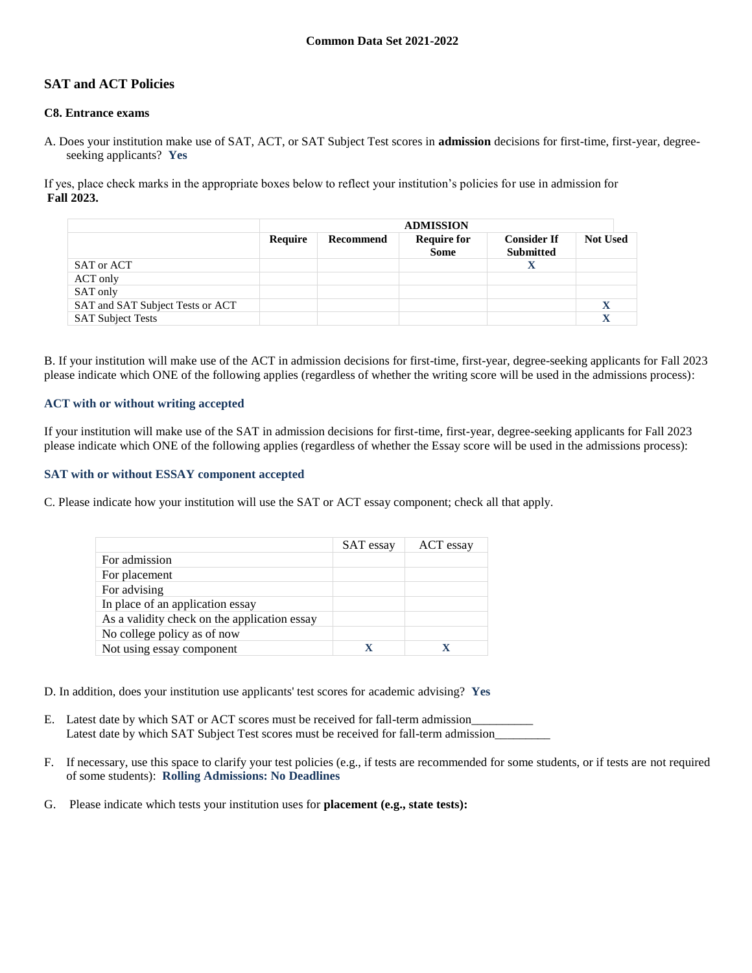# **SAT and ACT Policies**

### **C8. Entrance exams**

A. Does your institution make use of SAT, ACT, or SAT Subject Test scores in **admission** decisions for first-time, first-year, degreeseeking applicants? **Yes**

If yes, place check marks in the appropriate boxes below to reflect your institution's policies for use in admission for **Fall 2023.**

|                                  | <b>ADMISSION</b> |           |                                   |                                        |                 |
|----------------------------------|------------------|-----------|-----------------------------------|----------------------------------------|-----------------|
|                                  | Require          | Recommend | <b>Require for</b><br><b>Some</b> | <b>Consider If</b><br><b>Submitted</b> | <b>Not Used</b> |
| SAT or ACT                       |                  |           |                                   |                                        |                 |
| ACT only                         |                  |           |                                   |                                        |                 |
| SAT only                         |                  |           |                                   |                                        |                 |
| SAT and SAT Subject Tests or ACT |                  |           |                                   |                                        |                 |
| <b>SAT Subject Tests</b>         |                  |           |                                   |                                        |                 |

B. If your institution will make use of the ACT in admission decisions for first-time, first-year, degree-seeking applicants for Fall 2023 please indicate which ONE of the following applies (regardless of whether the writing score will be used in the admissions process):

#### **ACT with or without writing accepted**

If your institution will make use of the SAT in admission decisions for first-time, first-year, degree-seeking applicants for Fall 2023 please indicate which ONE of the following applies (regardless of whether the Essay score will be used in the admissions process):

#### **SAT with or without ESSAY component accepted**

C. Please indicate how your institution will use the SAT or ACT essay component; check all that apply.

|                                              | SAT essay | ACT essay |
|----------------------------------------------|-----------|-----------|
| For admission                                |           |           |
| For placement                                |           |           |
| For advising                                 |           |           |
| In place of an application essay             |           |           |
| As a validity check on the application essay |           |           |
| No college policy as of now                  |           |           |
| Not using essay component                    | X         |           |

D. In addition, does your institution use applicants' test scores for academic advising? **Yes**

- E. Latest date by which SAT or ACT scores must be received for fall-term admission Latest date by which SAT Subject Test scores must be received for fall-term admission\_\_\_\_\_\_\_\_\_
- F. If necessary, use this space to clarify your test policies (e.g., if tests are recommended for some students, or if tests are not required of some students): **Rolling Admissions: No Deadlines**
- G. Please indicate which tests your institution uses for **placement (e.g., state tests):**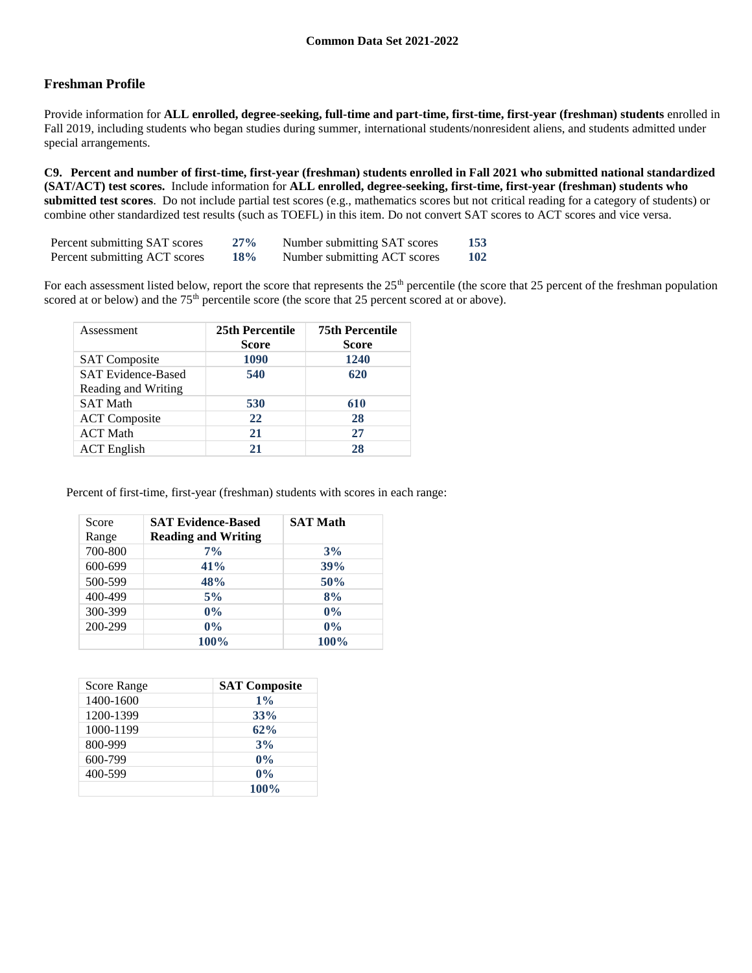# **Freshman Profile**

Provide information for **ALL enrolled, degree-seeking, full-time and part-time, first-time, first-year (freshman) students** enrolled in Fall 2019, including students who began studies during summer, international students/nonresident aliens, and students admitted under special arrangements.

**C9. Percent and number of first-time, first-year (freshman) students enrolled in Fall 2021 who submitted national standardized (SAT/ACT) test scores.** Include information for **ALL enrolled, degree-seeking, first-time, first-year (freshman) students who submitted test scores**. Do not include partial test scores (e.g., mathematics scores but not critical reading for a category of students) or combine other standardized test results (such as TOEFL) in this item. Do not convert SAT scores to ACT scores and vice versa.

| Percent submitting SAT scores | $27\%$ | Number submitting SAT scores | 153 |
|-------------------------------|--------|------------------------------|-----|
| Percent submitting ACT scores | 18%    | Number submitting ACT scores | 102 |

For each assessment listed below, report the score that represents the  $25<sup>th</sup>$  percentile (the score that 25 percent of the freshman population scored at or below) and the 75<sup>th</sup> percentile score (the score that 25 percent scored at or above).

| Assessment                                       | 25th Percentile<br><b>Score</b> | <b>75th Percentile</b><br><b>Score</b> |
|--------------------------------------------------|---------------------------------|----------------------------------------|
| <b>SAT Composite</b>                             | 1090                            | 1240                                   |
| <b>SAT Evidence-Based</b><br>Reading and Writing | 540                             | 620                                    |
| <b>SAT Math</b>                                  | 530                             | 610                                    |
| <b>ACT</b> Composite                             | 22                              | 28                                     |
| <b>ACT Math</b>                                  | 21                              | 27                                     |
| <b>ACT</b> English                               | 21                              | 28                                     |

Percent of first-time, first-year (freshman) students with scores in each range:

| Score<br>Range | <b>SAT Evidence-Based</b><br><b>Reading and Writing</b> | <b>SAT Math</b> |
|----------------|---------------------------------------------------------|-----------------|
| 700-800        | $7\%$                                                   | 3%              |
| 600-699        | 41%                                                     | 39%             |
| 500-599        | 48%                                                     | 50%             |
| 400-499        | 5%                                                      | 8%              |
| 300-399        | $0\%$                                                   | $0\%$           |
| 200-299        | $0\%$                                                   | $0\%$           |
|                | 100%                                                    | 100%            |

| Score Range | <b>SAT Composite</b> |
|-------------|----------------------|
| 1400-1600   | $1\%$                |
| 1200-1399   | 33%                  |
| 1000-1199   | 62%                  |
| 800-999     | 3%                   |
| 600-799     | $0\%$                |
| 400-599     | $0\%$                |
|             | 100%                 |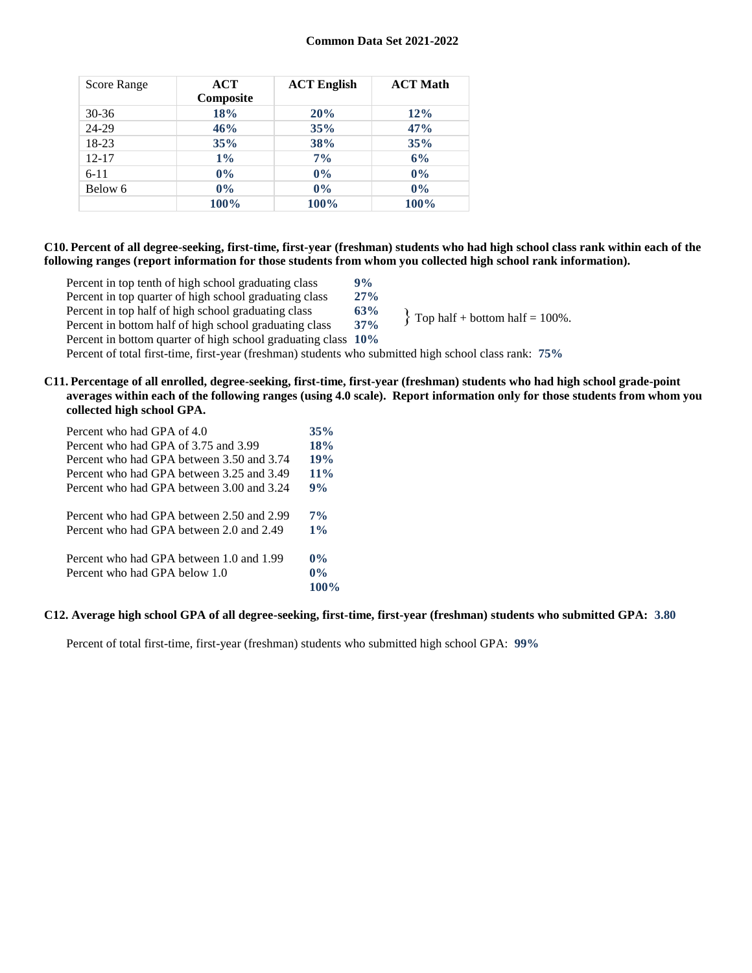| Score Range | ACT<br>Composite | <b>ACT English</b> | <b>ACT Math</b> |
|-------------|------------------|--------------------|-----------------|
| 30-36       | 18%              | 20%                | 12%             |
| 24-29       | 46%              | 35%                | 47%             |
| 18-23       | 35%              | 38%                | 35%             |
| $12 - 17$   | $1\%$            | 7%                 | 6%              |
| $6 - 11$    | $0\%$            | $0\%$              | $0\%$           |
| Below 6     | $0\%$            | 0%                 | 0%              |
|             | 100%             | 100%               | 100%            |

### **C10. Percent of all degree-seeking, first-time, first-year (freshman) students who had high school class rank within each of the following ranges (report information for those students from whom you collected high school rank information).**

| Percent in top tenth of high school graduating class          | 9%     |                                     |
|---------------------------------------------------------------|--------|-------------------------------------|
| Percent in top quarter of high school graduating class        | $27\%$ |                                     |
| Percent in top half of high school graduating class           | 63%    |                                     |
| Percent in bottom half of high school graduating class        | 37%    | $\{$ Top half + bottom half = 100%. |
| Percent in bottom quarter of high school graduating class 10% |        |                                     |

Percent of total first-time, first-year (freshman) students who submitted high school class rank: **75%**

#### **C11. Percentage of all enrolled, degree-seeking, first-time, first-year (freshman) students who had high school grade-point averages within each of the following ranges (using 4.0 scale). Report information only for those students from whom you collected high school GPA.**

| Percent who had GPA of 4.0                | 35%    |
|-------------------------------------------|--------|
| Percent who had GPA of 3.75 and 3.99      | 18%    |
| Percent who had GPA between 3.50 and 3.74 | 19%    |
| Percent who had GPA between 3.25 and 3.49 | $11\%$ |
| Percent who had GPA between 3.00 and 3.24 | 9%     |
| Percent who had GPA between 2.50 and 2.99 | $7\%$  |
| Percent who had GPA between 2.0 and 2.49  | $1\%$  |
| Percent who had GPA between 1.0 and 1.99  | $0\%$  |
| Percent who had GPA below 1.0             | $0\%$  |
|                                           | 100%   |

### **C12. Average high school GPA of all degree-seeking, first-time, first-year (freshman) students who submitted GPA: 3.80**

Percent of total first-time, first-year (freshman) students who submitted high school GPA: **99%**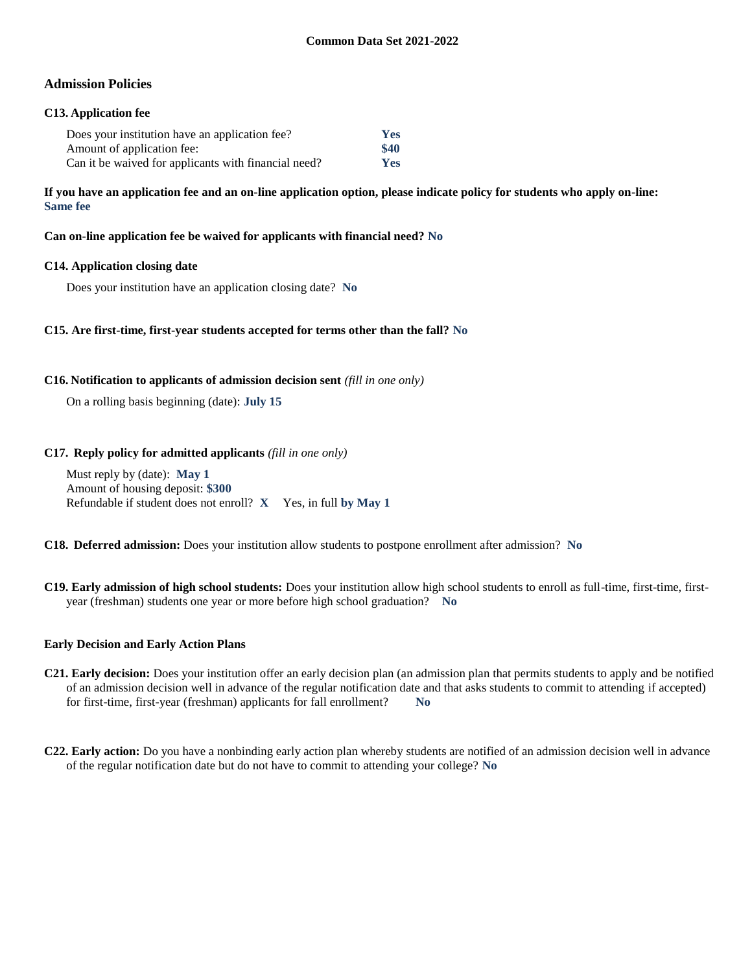### **Admission Policies**

### **C13. Application fee**

| Does your institution have an application fee?       | <b>Yes</b> |
|------------------------------------------------------|------------|
| Amount of application fee:                           | \$40       |
| Can it be waived for applicants with financial need? | <b>Yes</b> |

**If you have an application fee and an on-line application option, please indicate policy for students who apply on-line: Same fee**

**Can on-line application fee be waived for applicants with financial need? No**

#### **C14. Application closing date**

Does your institution have an application closing date? **No**

#### **C15. Are first-time, first-year students accepted for terms other than the fall? No**

#### **C16. Notification to applicants of admission decision sent** *(fill in one only)*

On a rolling basis beginning (date): **July 15**

#### **C17. Reply policy for admitted applicants** *(fill in one only)*

Must reply by (date): **May 1** Amount of housing deposit: **\$300** Refundable if student does not enroll? **X** Yes, in full **by May 1**

**C18. Deferred admission:** Does your institution allow students to postpone enrollment after admission? **No**

**C19. Early admission of high school students:** Does your institution allow high school students to enroll as full-time, first-time, firstyear (freshman) students one year or more before high school graduation? **No**

#### **Early Decision and Early Action Plans**

- **C21. Early decision:** Does your institution offer an early decision plan (an admission plan that permits students to apply and be notified of an admission decision well in advance of the regular notification date and that asks students to commit to attending if accepted) for first-time, first-year (freshman) applicants for fall enrollment? **No**
- **C22. Early action:** Do you have a nonbinding early action plan whereby students are notified of an admission decision well in advance of the regular notification date but do not have to commit to attending your college? **No**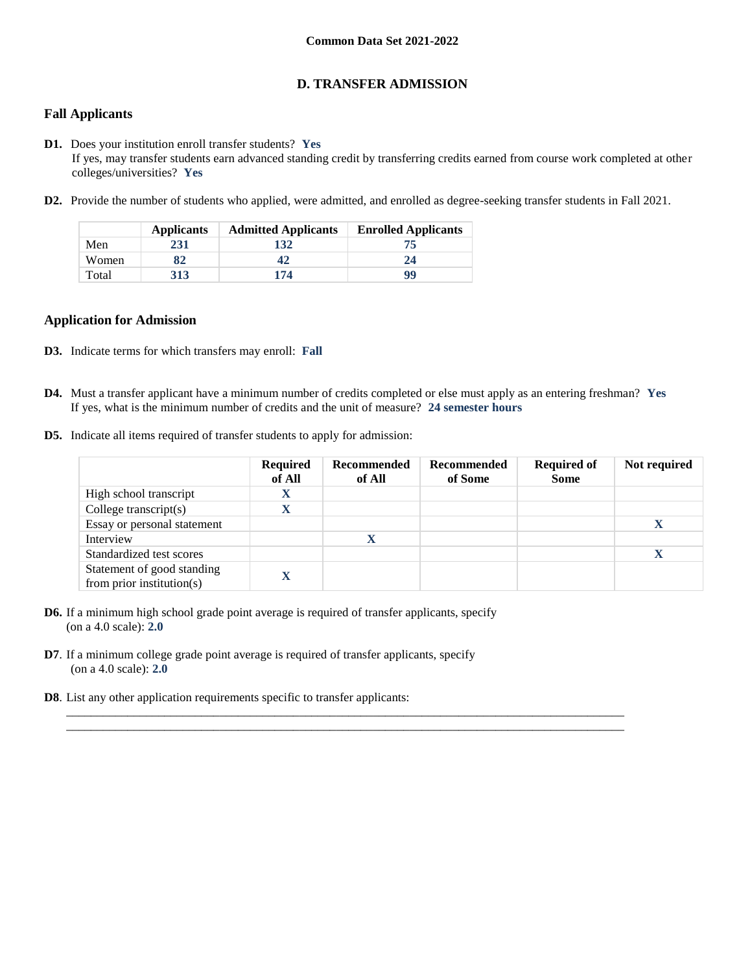### **D. TRANSFER ADMISSION**

### **Fall Applicants**

- **D1.** Does your institution enroll transfer students? **Yes** If yes, may transfer students earn advanced standing credit by transferring credits earned from course work completed at other colleges/universities? **Yes**
- **D2.** Provide the number of students who applied, were admitted, and enrolled as degree-seeking transfer students in Fall 2021.

|       | <b>Applicants</b> | <b>Admitted Applicants</b> | <b>Enrolled Applicants</b> |
|-------|-------------------|----------------------------|----------------------------|
| Men   | 231               | 132                        | 75                         |
| Women | 82                | 47                         | 24                         |
| Total | 313               | 174                        | 99                         |

#### **Application for Admission**

- **D3.** Indicate terms for which transfers may enroll: **Fall**
- **D4.** Must a transfer applicant have a minimum number of credits completed or else must apply as an entering freshman? **Yes** If yes, what is the minimum number of credits and the unit of measure? **24 semester hours**

 $\_$  ,  $\_$  ,  $\_$  ,  $\_$  ,  $\_$  ,  $\_$  ,  $\_$  ,  $\_$  ,  $\_$  ,  $\_$  ,  $\_$  ,  $\_$  ,  $\_$  ,  $\_$  ,  $\_$  ,  $\_$  ,  $\_$  ,  $\_$  ,  $\_$  ,  $\_$  ,  $\_$  ,  $\_$  ,  $\_$  ,  $\_$  ,  $\_$  ,  $\_$  ,  $\_$  ,  $\_$  ,  $\_$  ,  $\_$  ,  $\_$  ,  $\_$  ,  $\_$  ,  $\_$  ,  $\_$  ,  $\_$  ,  $\_$  , \_\_\_\_\_\_\_\_\_\_\_\_\_\_\_\_\_\_\_\_\_\_\_\_\_\_\_\_\_\_\_\_\_\_\_\_\_\_\_\_\_\_\_\_\_\_\_\_\_\_\_\_\_\_\_\_\_\_\_\_\_\_\_\_\_\_\_\_\_\_\_\_\_\_\_\_\_\_\_\_\_\_\_\_\_\_\_\_\_\_\_

**D5.** Indicate all items required of transfer students to apply for admission:

|                                                         | <b>Required</b><br>of All | Recommended<br>of All | Recommended<br>of Some | <b>Required of</b><br><b>Some</b> | Not required |
|---------------------------------------------------------|---------------------------|-----------------------|------------------------|-----------------------------------|--------------|
| High school transcript                                  | X                         |                       |                        |                                   |              |
| College transcript $(s)$                                |                           |                       |                        |                                   |              |
| Essay or personal statement                             |                           |                       |                        |                                   |              |
| Interview                                               |                           |                       |                        |                                   |              |
| Standardized test scores                                |                           |                       |                        |                                   | X            |
| Statement of good standing<br>from prior institution(s) |                           |                       |                        |                                   |              |

- **D6.** If a minimum high school grade point average is required of transfer applicants, specify (on a 4.0 scale): **2.0**
- **D7**. If a minimum college grade point average is required of transfer applicants, specify (on a 4.0 scale): **2.0**
- **D8**. List any other application requirements specific to transfer applicants: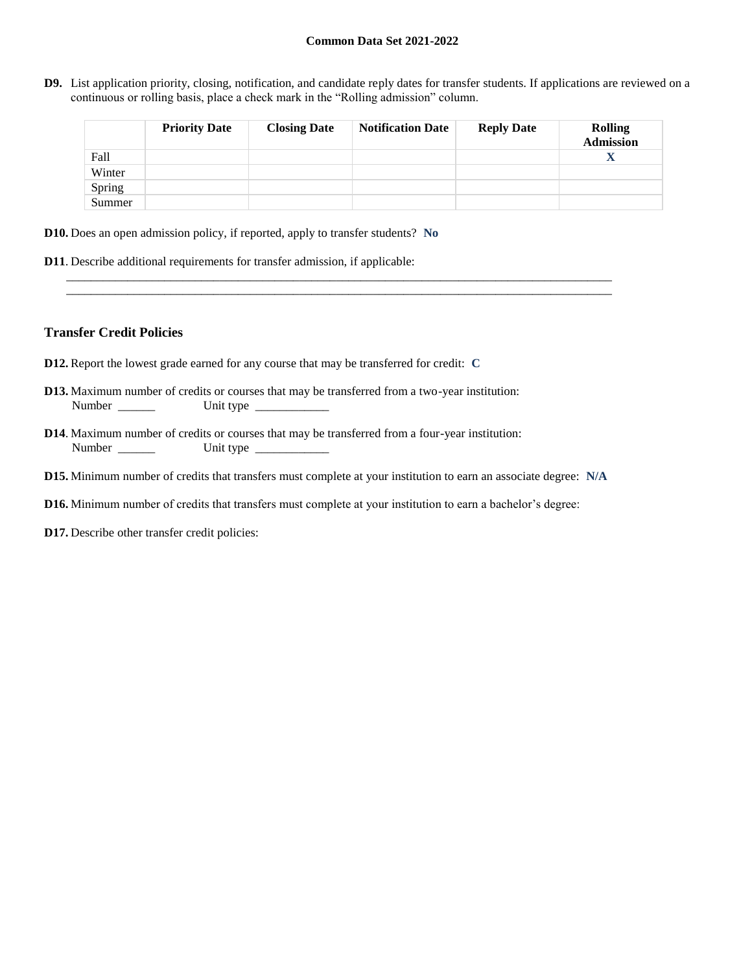**D9.** List application priority, closing, notification, and candidate reply dates for transfer students. If applications are reviewed on a continuous or rolling basis, place a check mark in the "Rolling admission" column.

|        | <b>Priority Date</b> | <b>Closing Date</b> | <b>Notification Date</b> | <b>Reply Date</b> | <b>Rolling</b><br><b>Admission</b> |
|--------|----------------------|---------------------|--------------------------|-------------------|------------------------------------|
| Fall   |                      |                     |                          |                   | X                                  |
| Winter |                      |                     |                          |                   |                                    |
| Spring |                      |                     |                          |                   |                                    |
| Summer |                      |                     |                          |                   |                                    |

- **D10.** Does an open admission policy, if reported, apply to transfer students? **No**
- **D11**. Describe additional requirements for transfer admission, if applicable:

### **Transfer Credit Policies**

- **D12.** Report the lowest grade earned for any course that may be transferred for credit: **C**
- **D13.** Maximum number of credits or courses that may be transferred from a two-year institution: Number \_\_\_\_\_\_ Unit type \_\_\_\_\_\_\_\_\_\_\_\_
- **D14**. Maximum number of credits or courses that may be transferred from a four-year institution: Number Unit type
- **D15.** Minimum number of credits that transfers must complete at your institution to earn an associate degree: **N/A**

\_\_\_\_\_\_\_\_\_\_\_\_\_\_\_\_\_\_\_\_\_\_\_\_\_\_\_\_\_\_\_\_\_\_\_\_\_\_\_\_\_\_\_\_\_\_\_\_\_\_\_\_\_\_\_\_\_\_\_\_\_\_\_\_\_\_\_\_\_\_\_\_\_\_\_\_\_\_\_\_\_\_\_\_\_\_\_\_\_ \_\_\_\_\_\_\_\_\_\_\_\_\_\_\_\_\_\_\_\_\_\_\_\_\_\_\_\_\_\_\_\_\_\_\_\_\_\_\_\_\_\_\_\_\_\_\_\_\_\_\_\_\_\_\_\_\_\_\_\_\_\_\_\_\_\_\_\_\_\_\_\_\_\_\_\_\_\_\_\_\_\_\_\_\_\_\_\_\_

- **D16.** Minimum number of credits that transfers must complete at your institution to earn a bachelor's degree:
- **D17.** Describe other transfer credit policies: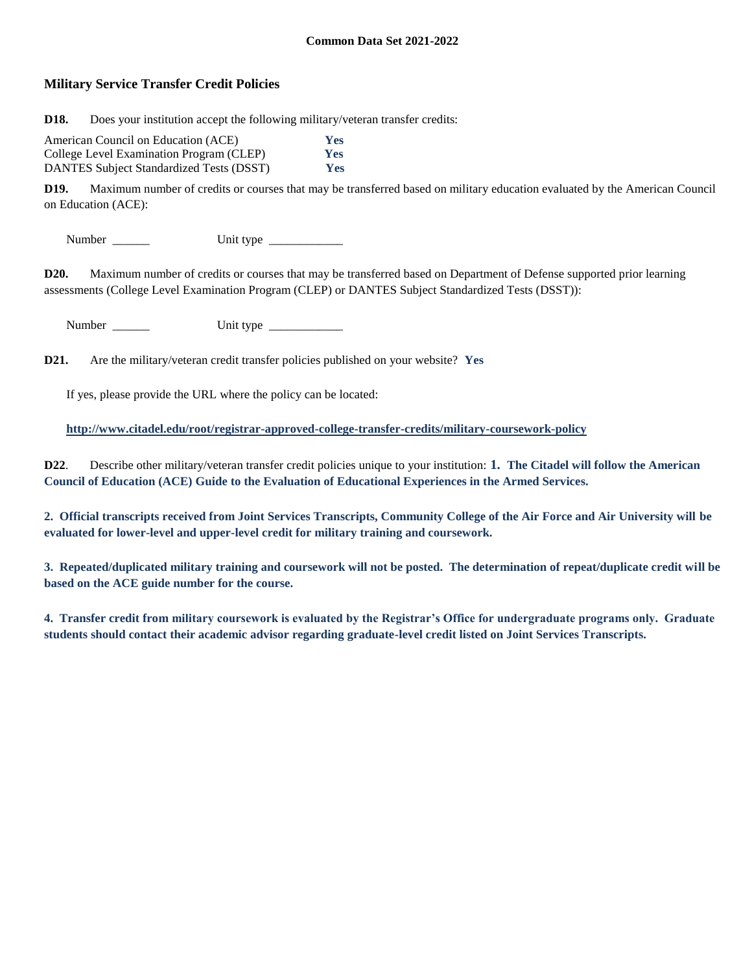## **Military Service Transfer Credit Policies**

**D18.** Does your institution accept the following military/veteran transfer credits:

| American Council on Education (ACE)      | <b>Yes</b> |
|------------------------------------------|------------|
| College Level Examination Program (CLEP) | <b>Yes</b> |
| DANTES Subject Standardized Tests (DSST) | <b>Yes</b> |

**D19.** Maximum number of credits or courses that may be transferred based on military education evaluated by the American Council on Education (ACE):

Number \_\_\_\_\_\_ Unit type \_\_\_\_\_\_\_\_\_\_\_\_

**D20.** Maximum number of credits or courses that may be transferred based on Department of Defense supported prior learning assessments (College Level Examination Program (CLEP) or DANTES Subject Standardized Tests (DSST)):

Number \_\_\_\_\_\_ Unit type \_\_\_\_\_\_\_\_\_\_\_\_

**D21.** Are the military/veteran credit transfer policies published on your website? **Yes**

If yes, please provide the URL where the policy can be located:

**<http://www.citadel.edu/root/registrar-approved-college-transfer-credits/military-coursework-policy>**

**D22**. Describe other military/veteran transfer credit policies unique to your institution: **1. The Citadel will follow the American Council of Education (ACE) Guide to the Evaluation of Educational Experiences in the Armed Services.**

**2. Official transcripts received from Joint Services Transcripts, Community College of the Air Force and Air University will be evaluated for lower-level and upper-level credit for military training and coursework.**

**3. Repeated/duplicated military training and coursework will not be posted. The determination of repeat/duplicate credit will be based on the ACE guide number for the course.**

**4. Transfer credit from military coursework is evaluated by the Registrar's Office for undergraduate programs only. Graduate students should contact their academic advisor regarding graduate-level credit listed on Joint Services Transcripts.**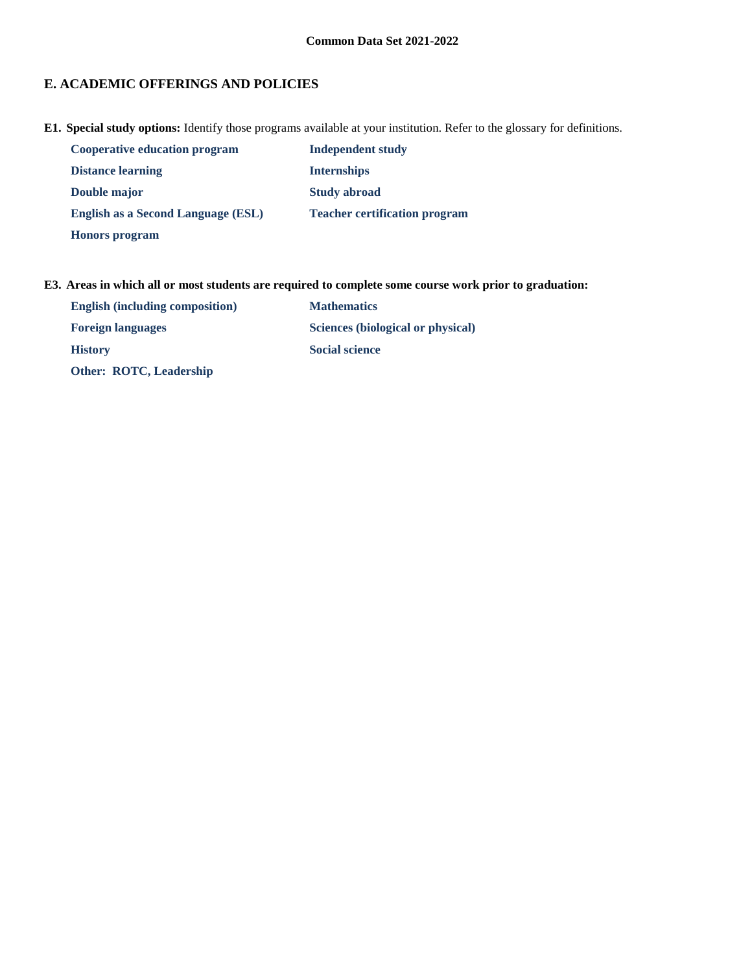# **E. ACADEMIC OFFERINGS AND POLICIES**

**E1. Special study options:** Identify those programs available at your institution. Refer to the glossary for definitions.

| <b>Cooperative education program</b> | Independent study                    |
|--------------------------------------|--------------------------------------|
| <b>Distance learning</b>             | <b>Internships</b>                   |
| Double major                         | <b>Study abroad</b>                  |
| English as a Second Language (ESL)   | <b>Teacher certification program</b> |
| <b>Honors</b> program                |                                      |

### **E3. Areas in which all or most students are required to complete some course work prior to graduation:**

| <b>English (including composition)</b> | <b>Mathematics</b>                |
|----------------------------------------|-----------------------------------|
| <b>Foreign languages</b>               | Sciences (biological or physical) |
| <b>History</b>                         | <b>Social science</b>             |
| <b>Other: ROTC, Leadership</b>         |                                   |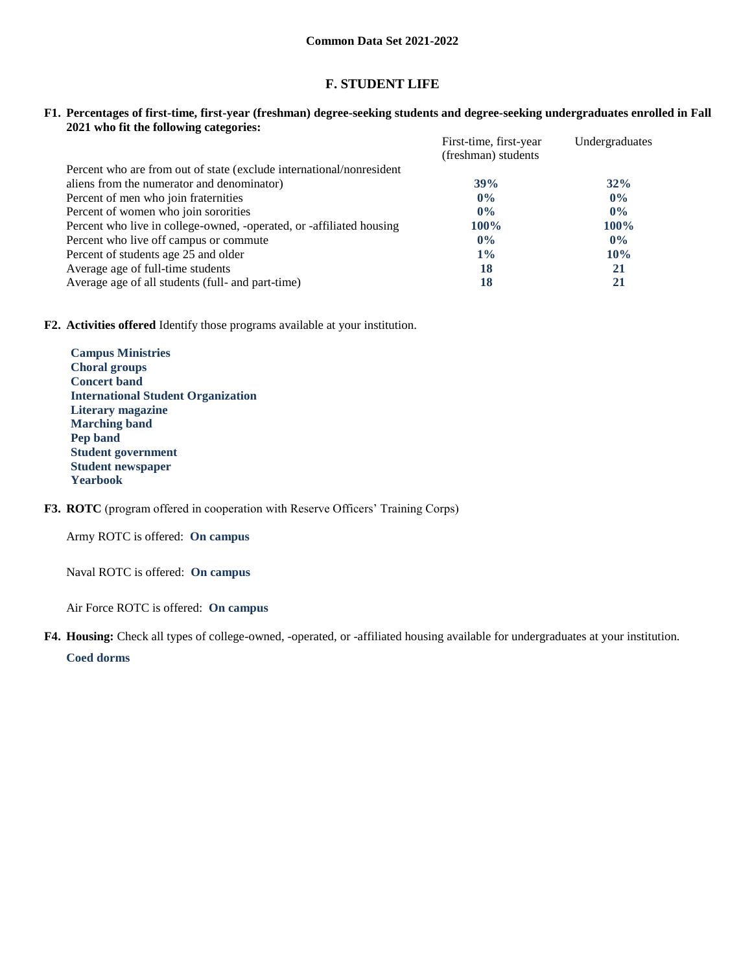# **F. STUDENT LIFE**

**F1. Percentages of first-time, first-year (freshman) degree-seeking students and degree-seeking undergraduates enrolled in Fall 2021 who fit the following categories:**

|                                                                      | First-time, first-year | Undergraduates |
|----------------------------------------------------------------------|------------------------|----------------|
|                                                                      | (freshman) students    |                |
| Percent who are from out of state (exclude international/nonresident |                        |                |
| aliens from the numerator and denominator)                           | 39%                    | 32%            |
| Percent of men who join fraternities                                 | $0\%$                  | $0\%$          |
| Percent of women who join sororities                                 | $0\%$                  | $0\%$          |
| Percent who live in college-owned, -operated, or -affiliated housing | $100\%$                | $100\%$        |
| Percent who live off campus or commute                               | $0\%$                  | $0\%$          |
| Percent of students age 25 and older                                 | $1\%$                  | 10%            |
| Average age of full-time students                                    | 18                     | 21             |
| Average age of all students (full- and part-time)                    | 18                     | 21             |

**F2. Activities offered** Identify those programs available at your institution.

**Campus Ministries Choral groups Concert band International Student Organization Literary magazine Marching band Pep band Student government Student newspaper Yearbook**

**F3. ROTC** (program offered in cooperation with Reserve Officers' Training Corps)

Army ROTC is offered: **On campus**

Naval ROTC is offered: **On campus**

Air Force ROTC is offered: **On campus**

**F4. Housing:** Check all types of college-owned, -operated, or -affiliated housing available for undergraduates at your institution.

**Coed dorms**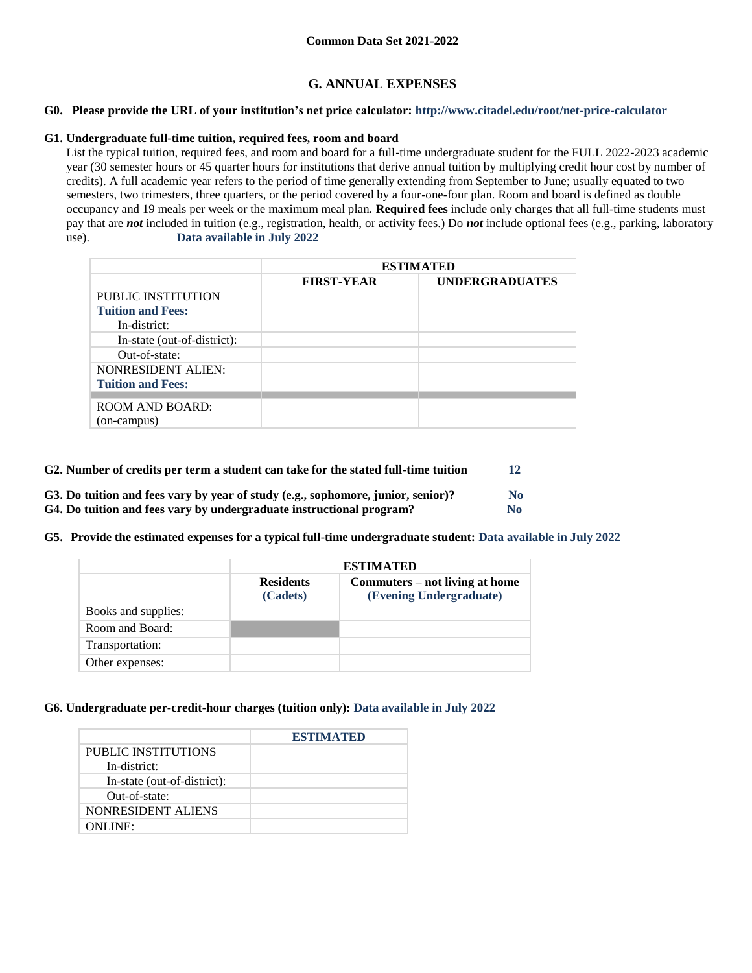# **G. ANNUAL EXPENSES**

#### **G0. Please provide the URL of your institution's net price calculator: http://www.citadel.edu/root/net-price-calculator**

#### **G1. Undergraduate full-time tuition, required fees, room and board**

List the typical tuition, required fees, and room and board for a full-time undergraduate student for the FULL 2022-2023 academic year (30 semester hours or 45 quarter hours for institutions that derive annual tuition by multiplying credit hour cost by number of credits). A full academic year refers to the period of time generally extending from September to June; usually equated to two semesters, two trimesters, three quarters, or the period covered by a four-one-four plan. Room and board is defined as double occupancy and 19 meals per week or the maximum meal plan. **Required fees** include only charges that all full-time students must pay that are *not* included in tuition (e.g., registration, health, or activity fees.) Do *not* include optional fees (e.g., parking, laboratory use). **Data available in July 2022**

|                             | <b>ESTIMATED</b>  |                       |  |  |
|-----------------------------|-------------------|-----------------------|--|--|
|                             | <b>FIRST-YEAR</b> | <b>UNDERGRADUATES</b> |  |  |
| PUBLIC INSTITUTION          |                   |                       |  |  |
| <b>Tuition and Fees:</b>    |                   |                       |  |  |
| In-district:                |                   |                       |  |  |
| In-state (out-of-district): |                   |                       |  |  |
| Out-of-state:               |                   |                       |  |  |
| <b>NONRESIDENT ALIEN:</b>   |                   |                       |  |  |
| <b>Tuition and Fees:</b>    |                   |                       |  |  |
|                             |                   |                       |  |  |
| <b>ROOM AND BOARD:</b>      |                   |                       |  |  |
| (on-campus)                 |                   |                       |  |  |

| G2. Number of credits per term a student can take for the stated full-time tuition |                |  |
|------------------------------------------------------------------------------------|----------------|--|
| G3. Do tuition and fees vary by year of study (e.g., sophomore, junior, senior)?   | N <sub>0</sub> |  |
| G4. Do tuition and fees vary by undergraduate instructional program?               | No             |  |

**G5. Provide the estimated expenses for a typical full-time undergraduate student: Data available in July 2022**

|                     | <b>ESTIMATED</b>             |                                                           |  |  |
|---------------------|------------------------------|-----------------------------------------------------------|--|--|
|                     | <b>Residents</b><br>(Cadets) | Commuters – not living at home<br>(Evening Undergraduate) |  |  |
| Books and supplies: |                              |                                                           |  |  |
| Room and Board:     |                              |                                                           |  |  |
| Transportation:     |                              |                                                           |  |  |
| Other expenses:     |                              |                                                           |  |  |

#### **G6. Undergraduate per-credit-hour charges (tuition only): Data available in July 2022**

|                             | <b>ESTIMATED</b> |
|-----------------------------|------------------|
| <b>PUBLIC INSTITUTIONS</b>  |                  |
| In-district:                |                  |
| In-state (out-of-district): |                  |
| Out-of-state:               |                  |
| NONRESIDENT ALIENS          |                  |
| $ONLINE+$                   |                  |
|                             |                  |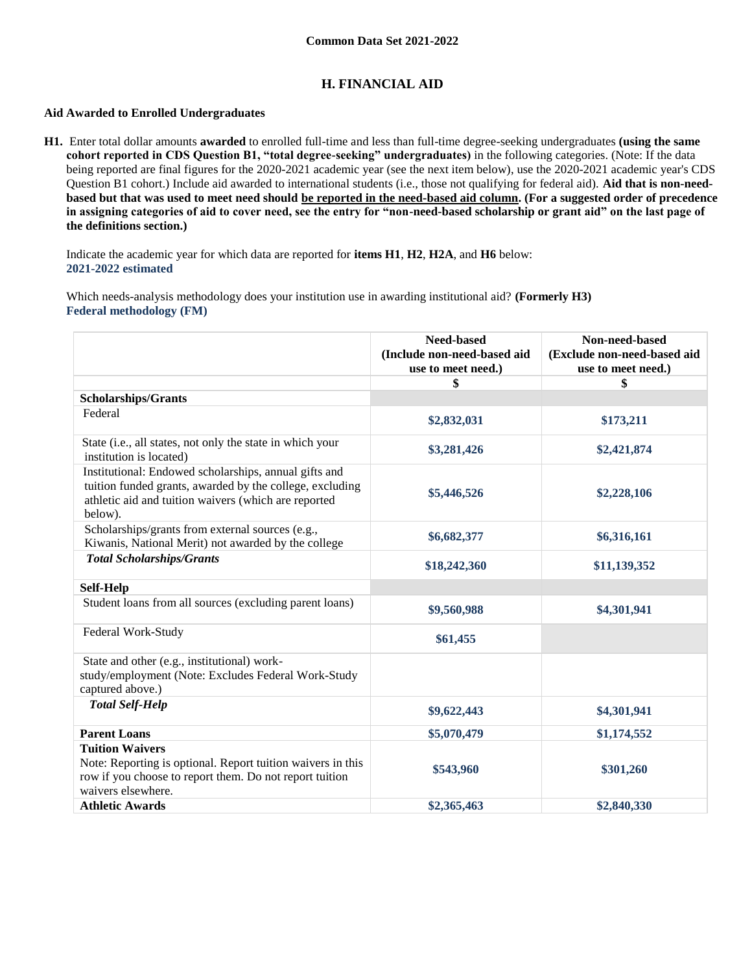# **H. FINANCIAL AID**

### **Aid Awarded to Enrolled Undergraduates**

**H1.** Enter total dollar amounts **awarded** to enrolled full-time and less than full-time degree-seeking undergraduates **(using the same cohort reported in CDS Question B1, "total degree-seeking" undergraduates)** in the following categories. (Note: If the data being reported are final figures for the 2020-2021 academic year (see the next item below), use the 2020-2021 academic year's CDS Question B1 cohort.) Include aid awarded to international students (i.e., those not qualifying for federal aid). **Aid that is non-needbased but that was used to meet need should be reported in the need-based aid column. (For a suggested order of precedence in assigning categories of aid to cover need, see the entry for "non-need-based scholarship or grant aid" on the last page of the definitions section.)**

Indicate the academic year for which data are reported for **items H1**, **H2**, **H2A**, and **H6** below: **2021-2022 estimated** 

Which needs-analysis methodology does your institution use in awarding institutional aid? **(Formerly H3) Federal methodology (FM)**

|                                                                                                                                                                                      | <b>Need-based</b><br>(Include non-need-based aid<br>use to meet need.) | Non-need-based<br>(Exclude non-need-based aid<br>use to meet need.) |
|--------------------------------------------------------------------------------------------------------------------------------------------------------------------------------------|------------------------------------------------------------------------|---------------------------------------------------------------------|
|                                                                                                                                                                                      | \$                                                                     | \$                                                                  |
| <b>Scholarships/Grants</b>                                                                                                                                                           |                                                                        |                                                                     |
| Federal                                                                                                                                                                              | \$2,832,031                                                            | \$173,211                                                           |
| State (i.e., all states, not only the state in which your<br>institution is located)                                                                                                 | \$3,281,426                                                            | \$2,421,874                                                         |
| Institutional: Endowed scholarships, annual gifts and<br>tuition funded grants, awarded by the college, excluding<br>athletic aid and tuition waivers (which are reported<br>below). | \$5,446,526                                                            | \$2,228,106                                                         |
| Scholarships/grants from external sources (e.g.,<br>Kiwanis, National Merit) not awarded by the college                                                                              | \$6,682,377                                                            | \$6,316,161                                                         |
| <b>Total Scholarships/Grants</b>                                                                                                                                                     | \$18,242,360                                                           | \$11,139,352                                                        |
| Self-Help                                                                                                                                                                            |                                                                        |                                                                     |
| Student loans from all sources (excluding parent loans)                                                                                                                              | \$9,560,988                                                            | \$4,301,941                                                         |
| Federal Work-Study                                                                                                                                                                   | \$61,455                                                               |                                                                     |
| State and other (e.g., institutional) work-<br>study/employment (Note: Excludes Federal Work-Study<br>captured above.)                                                               |                                                                        |                                                                     |
| <b>Total Self-Help</b>                                                                                                                                                               | \$9,622,443                                                            | \$4,301,941                                                         |
| <b>Parent Loans</b>                                                                                                                                                                  | \$5,070,479                                                            | \$1,174,552                                                         |
| <b>Tuition Waivers</b><br>Note: Reporting is optional. Report tuition waivers in this<br>row if you choose to report them. Do not report tuition<br>waivers elsewhere.               | \$543,960                                                              | \$301,260                                                           |
| <b>Athletic Awards</b>                                                                                                                                                               | \$2,365,463                                                            | \$2,840,330                                                         |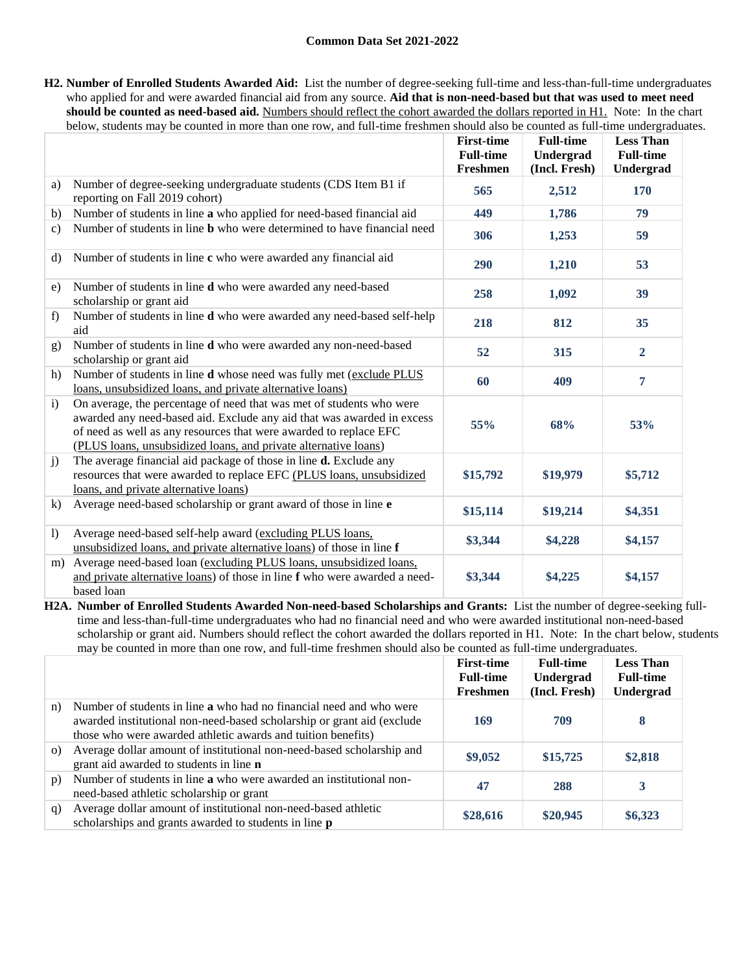**H2. Number of Enrolled Students Awarded Aid:** List the number of degree-seeking full-time and less-than-full-time undergraduates who applied for and were awarded financial aid from any source. **Aid that is non-need-based but that was used to meet need should be counted as need-based aid.** Numbers should reflect the cohort awarded the dollars reported in H1. Note: In the chart below, students may be counted in more than one row, and full-time freshmen should also be counted as full-time undergraduates.

|                  |                                                                                                                                                                                                                                                                                        | <b>First-time</b><br><b>Full-time</b><br>Freshmen | <b>Full-time</b><br>Undergrad<br>(Incl. Fresh) | <b>Less Than</b><br><b>Full-time</b><br>Undergrad |
|------------------|----------------------------------------------------------------------------------------------------------------------------------------------------------------------------------------------------------------------------------------------------------------------------------------|---------------------------------------------------|------------------------------------------------|---------------------------------------------------|
| a)               | Number of degree-seeking undergraduate students (CDS Item B1 if<br>reporting on Fall 2019 cohort)                                                                                                                                                                                      | 565                                               | 2,512                                          | 170                                               |
| b)               | Number of students in line a who applied for need-based financial aid                                                                                                                                                                                                                  | 449                                               | 1,786                                          | 79                                                |
| $\mathbf{c}$     | Number of students in line <b>b</b> who were determined to have financial need                                                                                                                                                                                                         | 306                                               | 1,253                                          | 59                                                |
| d)               | Number of students in line c who were awarded any financial aid                                                                                                                                                                                                                        | 290                                               | 1,210                                          | 53                                                |
| e)               | Number of students in line d who were awarded any need-based<br>scholarship or grant aid                                                                                                                                                                                               | 258                                               | 1,092                                          | 39                                                |
| f)               | Number of students in line d who were awarded any need-based self-help<br>aid                                                                                                                                                                                                          | 218                                               | 812                                            | 35                                                |
| g)               | Number of students in line <b>d</b> who were awarded any non-need-based<br>scholarship or grant aid                                                                                                                                                                                    | 52                                                | 315                                            | $\overline{2}$                                    |
| h)               | Number of students in line <b>d</b> whose need was fully met (exclude PLUS<br>loans, unsubsidized loans, and private alternative loans)                                                                                                                                                | 60                                                | 409                                            | 7                                                 |
| $\mathbf{i}$     | On average, the percentage of need that was met of students who were<br>awarded any need-based aid. Exclude any aid that was awarded in excess<br>of need as well as any resources that were awarded to replace EFC<br>(PLUS loans, unsubsidized loans, and private alternative loans) | 55%                                               | 68%                                            | 53%                                               |
| j)               | The average financial aid package of those in line <b>d.</b> Exclude any<br>resources that were awarded to replace EFC (PLUS loans, unsubsidized<br>loans, and private alternative loans)                                                                                              | \$15,792                                          | \$19,979                                       | \$5,712                                           |
| k)               | Average need-based scholarship or grant award of those in line e                                                                                                                                                                                                                       | \$15,114                                          | \$19,214                                       | \$4,351                                           |
| $\left( \right)$ | Average need-based self-help award (excluding PLUS loans,<br>unsubsidized loans, and private alternative loans) of those in line f                                                                                                                                                     | \$3,344                                           | \$4,228                                        | \$4,157                                           |
| m)               | Average need-based loan (excluding PLUS loans, unsubsidized loans,<br>and private alternative loans) of those in line f who were awarded a need-<br>based loan                                                                                                                         | \$3,344                                           | \$4,225                                        | \$4,157                                           |

**H2A. Number of Enrolled Students Awarded Non-need-based Scholarships and Grants:** List the number of degree-seeking fulltime and less-than-full-time undergraduates who had no financial need and who were awarded institutional non-need-based scholarship or grant aid. Numbers should reflect the cohort awarded the dollars reported in H1. Note: In the chart below, students may be counted in more than one row, and full-time freshmen should also be counted as full-time undergraduates.

|          |                                                                                                                                                                                                                      | <b>First-time</b><br><b>Full-time</b><br>Freshmen | <b>Full-time</b><br>Undergrad<br>(Incl. Fresh) | <b>Less Than</b><br><b>Full-time</b><br>Undergrad |
|----------|----------------------------------------------------------------------------------------------------------------------------------------------------------------------------------------------------------------------|---------------------------------------------------|------------------------------------------------|---------------------------------------------------|
| n)       | Number of students in line <b>a</b> who had no financial need and who were<br>awarded institutional non-need-based scholarship or grant aid (exclude<br>those who were awarded athletic awards and tuition benefits) | 169                                               | 709                                            | 8                                                 |
| $\Omega$ | Average dollar amount of institutional non-need-based scholarship and<br>grant aid awarded to students in line n                                                                                                     | \$9,052                                           | \$15,725                                       | \$2,818                                           |
| p)       | Number of students in line a who were awarded an institutional non-<br>need-based athletic scholarship or grant                                                                                                      | 47                                                | 288                                            | 3                                                 |
| q)       | Average dollar amount of institutional non-need-based athletic<br>scholarships and grants awarded to students in line p                                                                                              | \$28,616                                          | \$20,945                                       | \$6,323                                           |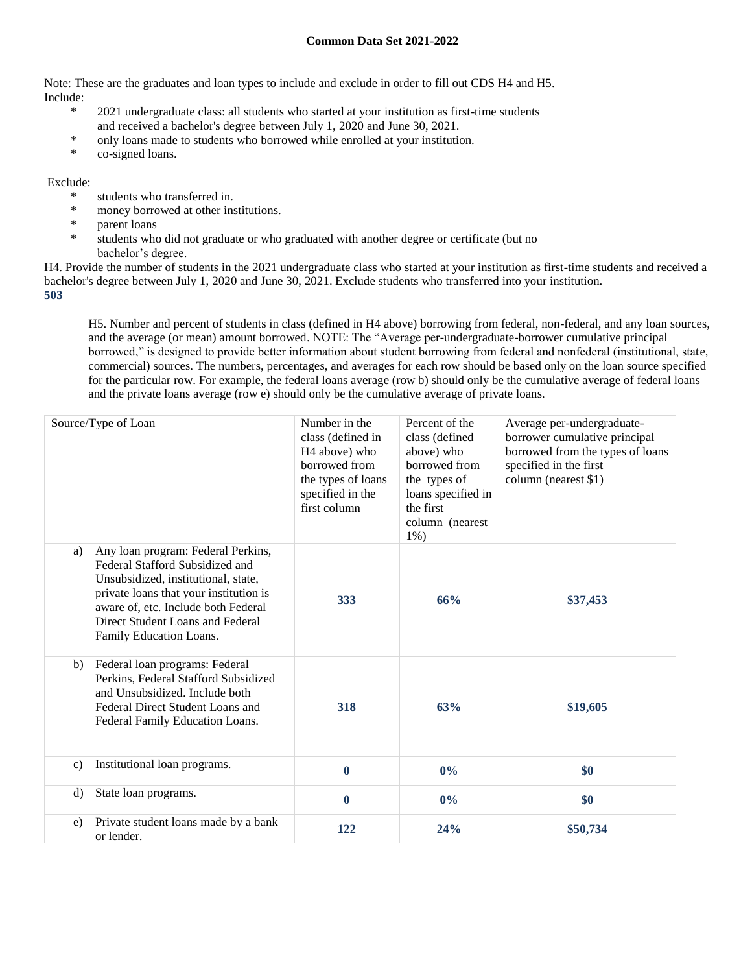Note: These are the graduates and loan types to include and exclude in order to fill out CDS H4 and H5. Include:

- \* 2021 undergraduate class: all students who started at your institution as first-time students and received a bachelor's degree between July 1, 2020 and June 30, 2021.
- \* only loans made to students who borrowed while enrolled at your institution.
- \* co-signed loans.

### Exclude:

- \* students who transferred in.
- \* money borrowed at other institutions.
- parent loans
- students who did not graduate or who graduated with another degree or certificate (but no bachelor's degree.

H4. Provide the number of students in the 2021 undergraduate class who started at your institution as first-time students and received a bachelor's degree between July 1, 2020 and June 30, 2021. Exclude students who transferred into your institution. **503**

H5. Number and percent of students in class (defined in H4 above) borrowing from federal, non-federal, and any loan sources, and the average (or mean) amount borrowed. NOTE: The "Average per-undergraduate-borrower cumulative principal borrowed," is designed to provide better information about student borrowing from federal and nonfederal (institutional, state, commercial) sources. The numbers, percentages, and averages for each row should be based only on the loan source specified for the particular row. For example, the federal loans average (row b) should only be the cumulative average of federal loans and the private loans average (row e) should only be the cumulative average of private loans.

|              | Source/Type of Loan                                                                                                                                                                                                                                          | Number in the<br>class (defined in<br>H <sub>4</sub> above) who<br>borrowed from<br>the types of loans<br>specified in the<br>first column | Percent of the<br>class (defined<br>above) who<br>borrowed from<br>the types of<br>loans specified in<br>the first<br>column (nearest<br>$1\%$ ) | Average per-undergraduate-<br>borrower cumulative principal<br>borrowed from the types of loans<br>specified in the first<br>column (nearest \$1) |
|--------------|--------------------------------------------------------------------------------------------------------------------------------------------------------------------------------------------------------------------------------------------------------------|--------------------------------------------------------------------------------------------------------------------------------------------|--------------------------------------------------------------------------------------------------------------------------------------------------|---------------------------------------------------------------------------------------------------------------------------------------------------|
| a)           | Any loan program: Federal Perkins,<br>Federal Stafford Subsidized and<br>Unsubsidized, institutional, state,<br>private loans that your institution is<br>aware of, etc. Include both Federal<br>Direct Student Loans and Federal<br>Family Education Loans. | 333                                                                                                                                        | 66%                                                                                                                                              | \$37,453                                                                                                                                          |
| b)           | Federal loan programs: Federal<br>Perkins, Federal Stafford Subsidized<br>and Unsubsidized. Include both<br>Federal Direct Student Loans and<br>Federal Family Education Loans.                                                                              | 318                                                                                                                                        | 63%                                                                                                                                              | \$19,605                                                                                                                                          |
| $\mathbf{c}$ | Institutional loan programs.                                                                                                                                                                                                                                 | $\bf{0}$                                                                                                                                   | $0\%$                                                                                                                                            | \$0                                                                                                                                               |
| d)           | State loan programs.                                                                                                                                                                                                                                         | $\mathbf{0}$                                                                                                                               | $0\%$                                                                                                                                            | \$0                                                                                                                                               |
| $\epsilon$ ) | Private student loans made by a bank<br>or lender.                                                                                                                                                                                                           | 122                                                                                                                                        | 24%                                                                                                                                              | \$50,734                                                                                                                                          |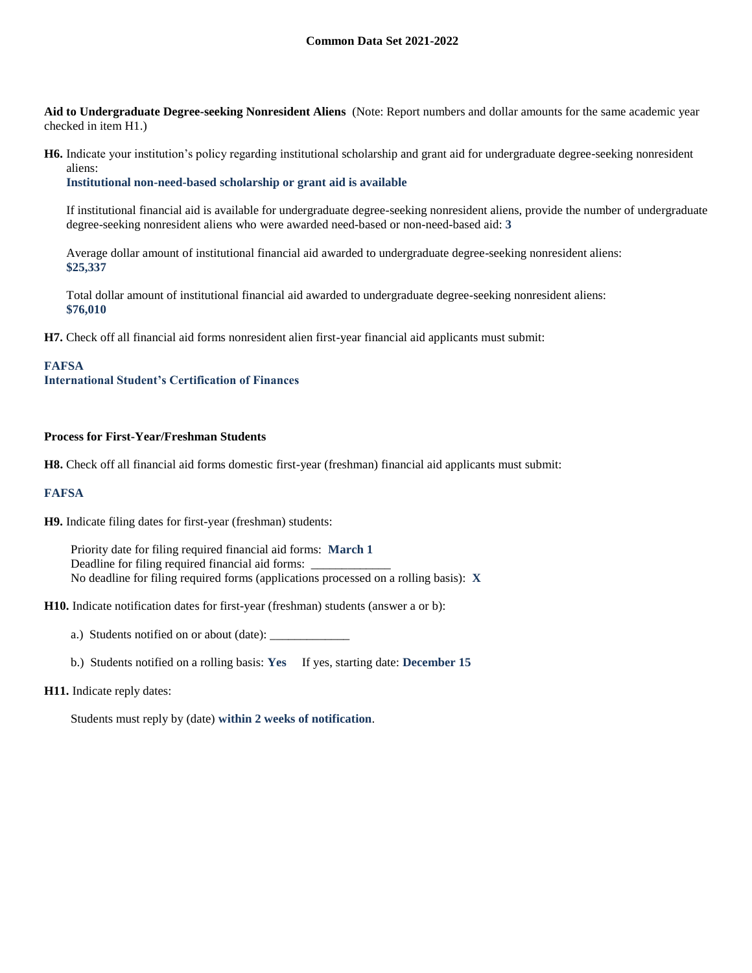**Aid to Undergraduate Degree-seeking Nonresident Aliens** (Note: Report numbers and dollar amounts for the same academic year checked in item H1.)

**H6.** Indicate your institution's policy regarding institutional scholarship and grant aid for undergraduate degree-seeking nonresident aliens:

**Institutional non-need-based scholarship or grant aid is available**

If institutional financial aid is available for undergraduate degree-seeking nonresident aliens, provide the number of undergraduate degree-seeking nonresident aliens who were awarded need-based or non-need-based aid: **3**

Average dollar amount of institutional financial aid awarded to undergraduate degree-seeking nonresident aliens: **\$25,337**

Total dollar amount of institutional financial aid awarded to undergraduate degree-seeking nonresident aliens: **\$76,010**

**H7.** Check off all financial aid forms nonresident alien first-year financial aid applicants must submit:

#### **FAFSA**

**International Student's Certification of Finances**

#### **Process for First-Year/Freshman Students**

**H8.** Check off all financial aid forms domestic first-year (freshman) financial aid applicants must submit:

#### **FAFSA**

**H9.** Indicate filing dates for first-year (freshman) students:

Priority date for filing required financial aid forms: **March 1** Deadline for filing required financial aid forms: No deadline for filing required forms (applications processed on a rolling basis): **X**

**H10.** Indicate notification dates for first-year (freshman) students (answer a or b):

a.) Students notified on or about (date): \_\_\_\_\_\_\_\_\_\_\_\_\_

b.) Students notified on a rolling basis: **Yes** If yes, starting date: **December 15**

#### **H11.** Indicate reply dates:

Students must reply by (date) **within 2 weeks of notification**.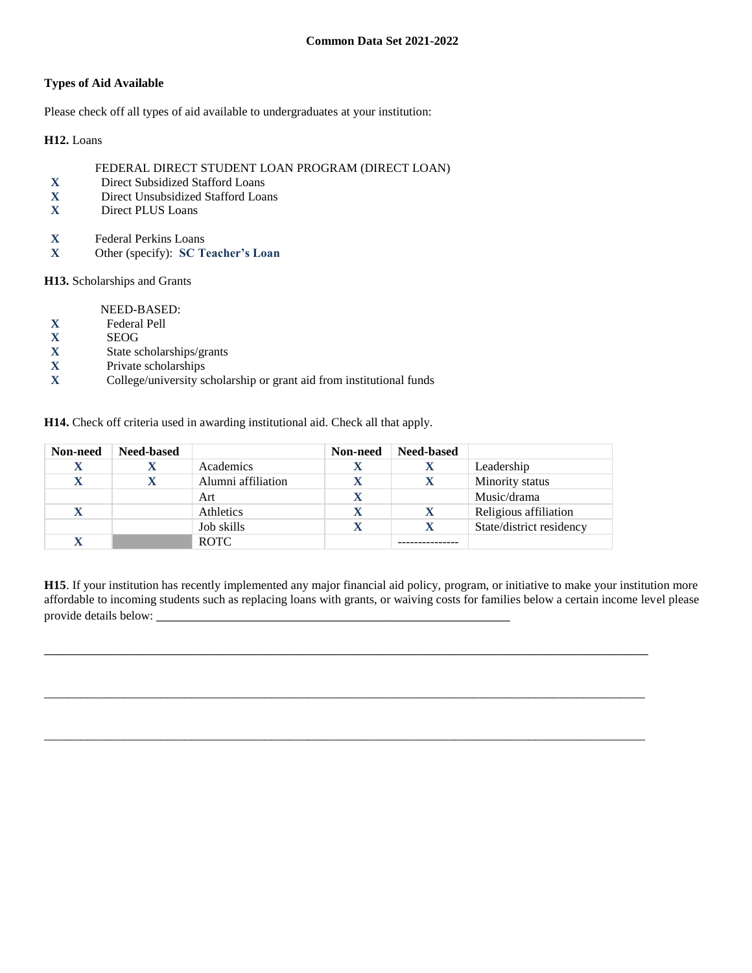### **Types of Aid Available**

Please check off all types of aid available to undergraduates at your institution:

**H12.** Loans

### FEDERAL DIRECT STUDENT LOAN PROGRAM (DIRECT LOAN)

- **X** Direct Subsidized Stafford Loans
- **X** Direct Unsubsidized Stafford Loans
- **X** Direct PLUS Loans
- **X** Federal Perkins Loans
- **X** Other (specify): **SC Teacher's Loan**

**H13.** Scholarships and Grants

NEED-BASED:

- **X** Federal Pell
- 
- **X** SEOG<br>**X** State so **X** State scholarships/grants
- **X** Private scholarships
- **X** College/university scholarship or grant aid from institutional funds

**H14.** Check off criteria used in awarding institutional aid. Check all that apply.

| Non-need    | <b>Need-based</b> |                    | Non-need | <b>Need-based</b> |                          |
|-------------|-------------------|--------------------|----------|-------------------|--------------------------|
| X           |                   | Academics          |          | л                 | Leadership               |
| X           |                   | Alumni affiliation |          |                   | Minority status          |
|             |                   | Art                |          |                   | Music/drama              |
| $\mathbf X$ |                   | Athletics          |          | X                 | Religious affiliation    |
|             |                   | Job skills         |          |                   | State/district residency |
| X           |                   | <b>ROTC</b>        |          |                   |                          |

**H15**. If your institution has recently implemented any major financial aid policy, program, or initiative to make your institution more affordable to incoming students such as replacing loans with grants, or waiving costs for families below a certain income level please provide details below: \_\_\_\_\_\_\_\_\_\_\_\_\_\_\_\_\_\_\_\_\_\_\_\_\_\_\_\_\_\_\_\_\_\_\_\_\_\_\_\_\_\_\_\_\_\_\_\_

\_\_\_\_\_\_\_\_\_\_\_\_\_\_\_\_\_\_\_\_\_\_\_\_\_\_\_\_\_\_\_\_\_\_\_\_\_\_\_\_\_\_\_\_\_\_\_\_\_\_\_\_\_\_\_\_\_\_\_\_\_\_\_\_\_\_\_\_\_\_\_\_\_\_\_\_\_\_\_\_\_\_

 $\overline{a_1}$  ,  $\overline{a_2}$  ,  $\overline{a_3}$  ,  $\overline{a_4}$  ,  $\overline{a_5}$  ,  $\overline{a_6}$  ,  $\overline{a_7}$  ,  $\overline{a_8}$  ,  $\overline{a_9}$  ,  $\overline{a_9}$  ,  $\overline{a_9}$  ,  $\overline{a_9}$  ,  $\overline{a_9}$  ,  $\overline{a_9}$  ,  $\overline{a_9}$  ,  $\overline{a_9}$  ,  $\overline{a_9}$  ,

\_\_\_\_\_\_\_\_\_\_\_\_\_\_\_\_\_\_\_\_\_\_\_\_\_\_\_\_\_\_\_\_\_\_\_\_\_\_\_\_\_\_\_\_\_\_\_\_\_\_\_\_\_\_\_\_\_\_\_\_\_\_\_\_\_\_\_\_\_\_\_\_\_\_\_\_\_\_\_\_\_\_\_\_\_\_\_\_\_\_\_\_\_\_\_\_\_\_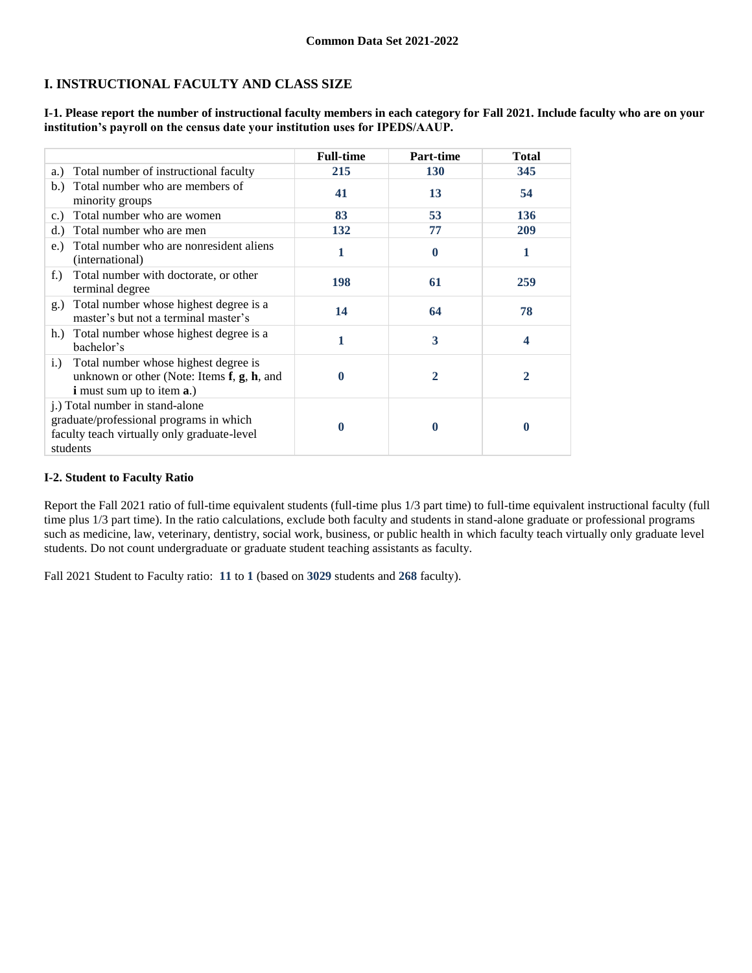# **I. INSTRUCTIONAL FACULTY AND CLASS SIZE**

**I-1. Please report the number of instructional faculty members in each category for Fall 2021. Include faculty who are on your institution's payroll on the census date your institution uses for IPEDS/AAUP.**

|                                                                                                                                                | <b>Full-time</b> | <b>Part-time</b> | <b>Total</b> |
|------------------------------------------------------------------------------------------------------------------------------------------------|------------------|------------------|--------------|
| Total number of instructional faculty<br>a.)                                                                                                   | 215              | <b>130</b>       | 345          |
| Total number who are members of<br>b.<br>minority groups                                                                                       | 41               | 13               | 54           |
| Total number who are women<br>c.)                                                                                                              | 83               | 53               | 136          |
| Total number who are men<br>d.                                                                                                                 | 132              | 77               | 209          |
| Total number who are nonresident aliens<br>e.)<br>(international)                                                                              | 1                | $\mathbf 0$      | 1            |
| Total number with doctorate, or other<br>$f_{\cdot}$ )<br>terminal degree                                                                      | 198              | 61               | 259          |
| Total number whose highest degree is a<br>g.)<br>master's but not a terminal master's                                                          | 14               | 64               | 78           |
| Total number whose highest degree is a<br>h.<br>bachelor's                                                                                     | 1                | 3                | 4            |
| Total number whose highest degree is<br>i.)<br>unknown or other (Note: Items $f$ , $g$ , $h$ , and<br><b>i</b> must sum up to item <b>a</b> .) | 0                | 2                | 2            |
| j.) Total number in stand-alone<br>graduate/professional programs in which<br>faculty teach virtually only graduate-level<br>students          | 0                | 0                | 0            |

### **I-2. Student to Faculty Ratio**

Report the Fall 2021 ratio of full-time equivalent students (full-time plus 1/3 part time) to full-time equivalent instructional faculty (full time plus 1/3 part time). In the ratio calculations, exclude both faculty and students in stand-alone graduate or professional programs such as medicine, law, veterinary, dentistry, social work, business, or public health in which faculty teach virtually only graduate level students. Do not count undergraduate or graduate student teaching assistants as faculty.

Fall 2021 Student to Faculty ratio: **11** to **1** (based on **3029** students and **268** faculty).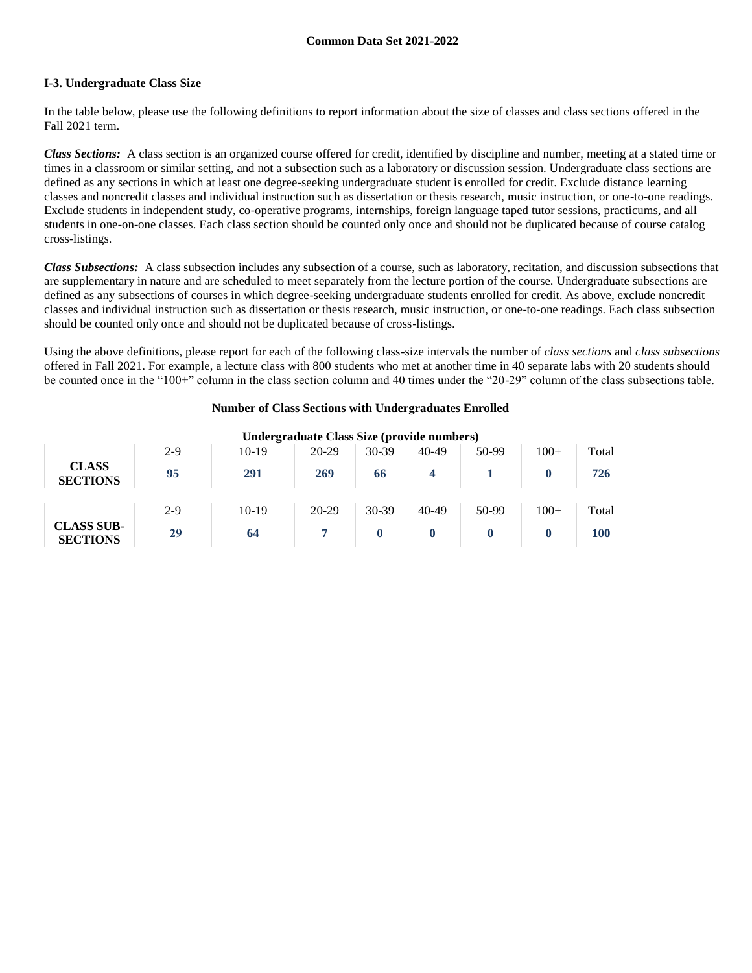### **I-3. Undergraduate Class Size**

In the table below, please use the following definitions to report information about the size of classes and class sections offered in the Fall 2021 term.

*Class Sections:* A class section is an organized course offered for credit, identified by discipline and number, meeting at a stated time or times in a classroom or similar setting, and not a subsection such as a laboratory or discussion session. Undergraduate class sections are defined as any sections in which at least one degree-seeking undergraduate student is enrolled for credit. Exclude distance learning classes and noncredit classes and individual instruction such as dissertation or thesis research, music instruction, or one-to-one readings. Exclude students in independent study, co-operative programs, internships, foreign language taped tutor sessions, practicums, and all students in one-on-one classes. Each class section should be counted only once and should not be duplicated because of course catalog cross-listings.

*Class Subsections:* A class subsection includes any subsection of a course, such as laboratory, recitation, and discussion subsections that are supplementary in nature and are scheduled to meet separately from the lecture portion of the course. Undergraduate subsections are defined as any subsections of courses in which degree-seeking undergraduate students enrolled for credit. As above, exclude noncredit classes and individual instruction such as dissertation or thesis research, music instruction, or one-to-one readings. Each class subsection should be counted only once and should not be duplicated because of cross-listings.

Using the above definitions, please report for each of the following class-size intervals the number of *class sections* and *class subsections* offered in Fall 2021. For example, a lecture class with 800 students who met at another time in 40 separate labs with 20 students should be counted once in the "100+" column in the class section column and 40 times under the "20-29" column of the class subsections table.

### **Number of Class Sections with Undergraduates Enrolled**

|                                      | Under graduate Class Size (provide numbers) |         |         |         |           |       |        |       |
|--------------------------------------|---------------------------------------------|---------|---------|---------|-----------|-------|--------|-------|
|                                      | $2-9$                                       | $10-19$ | $20-29$ | $30-39$ | $40 - 49$ | 50-99 | $100+$ | Total |
| <b>CLASS</b><br><b>SECTIONS</b>      | 95                                          | 291     | 269     | 66      | 4         |       |        | 726   |
|                                      |                                             |         |         |         |           |       |        |       |
|                                      | $2-9$                                       | $10-19$ | 20-29   | $30-39$ | 40-49     | 50-99 | $100+$ | Total |
| <b>CLASS SUB-</b><br><b>SECTIONS</b> | 29                                          | 64      | 7       |         |           |       |        | 100   |

**Undergraduate Class Size (provide numbers)**